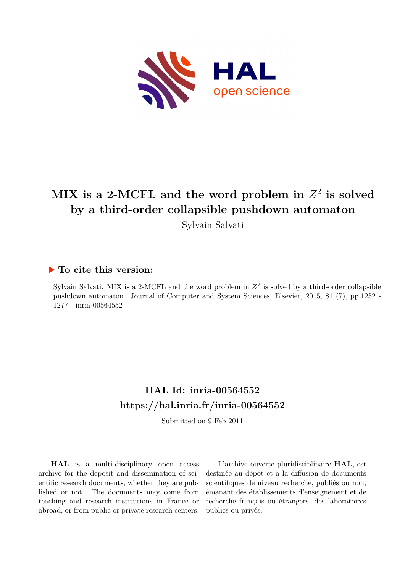

# $\textbf{MIX}$  is a 2-MCFL and the word problem in  $Z^2$  is solved **by a third-order collapsible pushdown automaton**

Sylvain Salvati

## **To cite this version:**

Sylvain Salvati. MIX is a 2-MCFL and the word problem in  $Z^2$  is solved by a third-order collapsible pushdown automaton. Journal of Computer and System Sciences, Elsevier, 2015, 81 (7), pp.1252 - 1277. inria-00564552

## **HAL Id: inria-00564552 <https://hal.inria.fr/inria-00564552>**

Submitted on 9 Feb 2011

**HAL** is a multi-disciplinary open access archive for the deposit and dissemination of scientific research documents, whether they are published or not. The documents may come from teaching and research institutions in France or abroad, or from public or private research centers.

L'archive ouverte pluridisciplinaire **HAL**, est destinée au dépôt et à la diffusion de documents scientifiques de niveau recherche, publiés ou non, émanant des établissements d'enseignement et de recherche français ou étrangers, des laboratoires publics ou privés.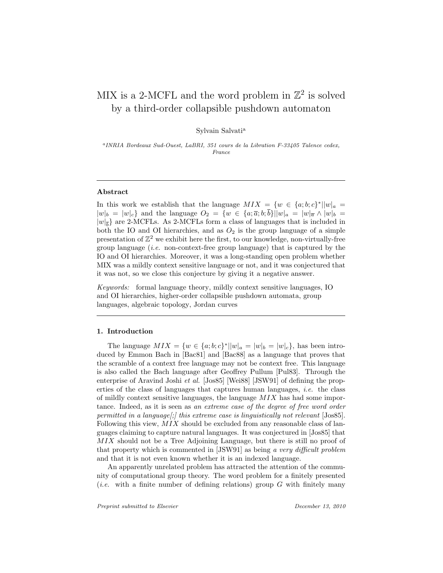## MIX is a 2-MCFL and the word problem in  $\mathbb{Z}^2$  is solved by a third-order collapsible pushdown automaton

Sylvain Salvati<sup>a</sup>

a INRIA Bordeaux Sud-Ouest, LaBRI, 351 cours de la Libration F-33405 Talence cedex, France

## Abstract

In this work we establish that the language  $MIX = \{w \in \{a, b, c\}^* || w|_a =$  $|w|_b = |w|_c$  and the language  $O_2 = \{w \in \{a, \overline{a}; b; \overline{b}\}||w|_a = |w|_{\overline{a}} \wedge |w|_b =$  $|w|_{\overline{b}}$  are 2-MCFLs. As 2-MCFLs form a class of languages that is included in both the IO and OI hierarchies, and as  $O_2$  is the group language of a simple presentation of  $\mathbb{Z}^2$  we exhibit here the first, to our knowledge, non-virtually-free group language (*i.e.* non-context-free group language) that is captured by the IO and OI hierarchies. Moreover, it was a long-standing open problem whether MIX was a mildly context sensitive language or not, and it was conjectured that it was not, so we close this conjecture by giving it a negative answer.

Keywords: formal language theory, mildly context sensitive languages, IO and OI hierarchies, higher-order collapsible pushdown automata, group languages, algebraic topology, Jordan curves

### 1. Introduction

The language  $MIX = \{w \in \{a; b; c\}^* || w|_a = |w|_b = |w|_c\}$ , has been introduced by Emmon Bach in [Bac81] and [Bac88] as a language that proves that the scramble of a context free language may not be context free. This language is also called the Bach language after Geoffrey Pullum [Pul83]. Through the enterprise of Aravind Joshi et al. [Jos85] [Wei88] [JSW91] of defining the properties of the class of languages that captures human languages, i.e. the class of mildly context sensitive languages, the language  $MIX$  has had some importance. Indeed, as it is seen as an extreme case of the degree of free word order permitted in a language[;] this extreme case is linguistically not relevant  $[Jos85]$ . Following this view,  $MIX$  should be excluded from any reasonable class of languages claiming to capture natural languages. It was conjectured in [Jos85] that MIX should not be a Tree Adjoining Language, but there is still no proof of that property which is commented in [JSW91] as being a very difficult problem and that it is not even known whether it is an indexed language.

An apparently unrelated problem has attracted the attention of the community of computational group theory. The word problem for a finitely presented (*i.e.* with a finite number of defining relations) group  $G$  with finitely many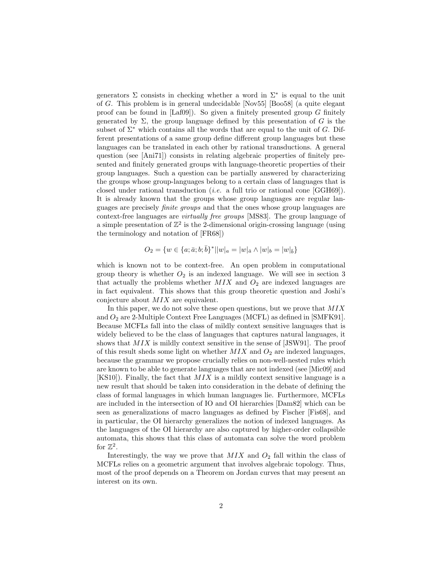generators  $\Sigma$  consists in checking whether a word in  $\Sigma^*$  is equal to the unit of G. This problem is in general undecidable [Nov55] [Boo58] (a quite elegant proof can be found in  $[Laf09]$ . So given a finitely presented group G finitely generated by  $\Sigma$ , the group language defined by this presentation of G is the subset of  $\Sigma^*$  which contains all the words that are equal to the unit of G. Different presentations of a same group define different group languages but these languages can be translated in each other by rational transductions. A general question (see [Ani71]) consists in relating algebraic properties of finitely presented and finitely generated groups with language-theoretic properties of their group languages. Such a question can be partially answered by characterizing the groups whose group-languages belong to a certain class of languages that is closed under rational transduction (i.e. a full trio or rational cone [GGH69]). It is already known that the groups whose group languages are regular languages are precisely finite groups and that the ones whose group languages are context-free languages are virtually free groups [MS83]. The group language of a simple presentation of  $\mathbb{Z}^2$  is the 2-dimensional origin-crossing language (using the terminology and notation of [FR68])

$$
O_2 = \{ w \in \{a; \bar{a}; b; \bar{b}\}^* || w |_{a} = |w|_{\bar{a}} \wedge |w|_{b} = |w|_{\bar{b}} \}
$$

which is known not to be context-free. An open problem in computational group theory is whether  $O_2$  is an indexed language. We will see in section 3 that actually the problems whether  $MIX$  and  $O<sub>2</sub>$  are indexed languages are in fact equivalent. This shows that this group theoretic question and Joshi's conjecture about MIX are equivalent.

In this paper, we do not solve these open questions, but we prove that  $MIX$ and  $O_2$  are 2-Multiple Context Free Languages (MCFL) as defined in [SMFK91]. Because MCFLs fall into the class of mildly context sensitive languages that is widely believed to be the class of languages that captures natural languages, it shows that  $MIX$  is mildly context sensitive in the sense of [JSW91]. The proof of this result sheds some light on whether  $MIX$  and  $O<sub>2</sub>$  are indexed languages, because the grammar we propose crucially relies on non-well-nested rules which are known to be able to generate languages that are not indexed (see [Mic09] and  $[KS10]$ . Finally, the fact that  $MIX$  is a mildly context sensitive language is a new result that should be taken into consideration in the debate of defining the class of formal languages in which human languages lie. Furthermore, MCFLs are included in the intersection of IO and OI hierarchies [Dam82] which can be seen as generalizations of macro languages as defined by Fischer [Fis68], and in particular, the OI hierarchy generalizes the notion of indexed languages. As the languages of the OI hierarchy are also captured by higher-order collapsible automata, this shows that this class of automata can solve the word problem for  $\mathbb{Z}^2$ .

Interestingly, the way we prove that  $MIX$  and  $O_2$  fall within the class of MCFLs relies on a geometric argument that involves algebraic topology. Thus, most of the proof depends on a Theorem on Jordan curves that may present an interest on its own.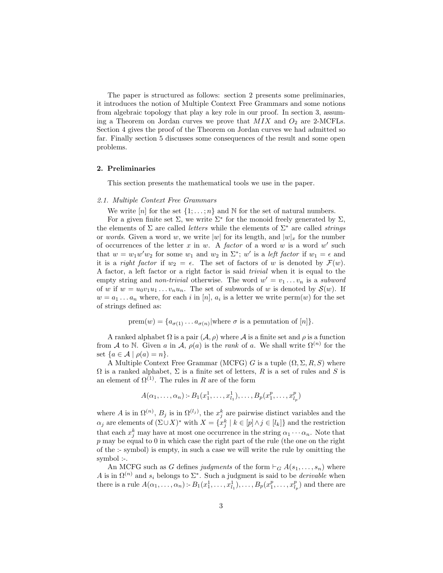The paper is structured as follows: section 2 presents some preliminaries, it introduces the notion of Multiple Context Free Grammars and some notions from algebraic topology that play a key role in our proof. In section 3, assuming a Theorem on Jordan curves we prove that  $MIX$  and  $O_2$  are 2-MCFLs. Section 4 gives the proof of the Theorem on Jordan curves we had admitted so far. Finally section 5 discusses some consequences of the result and some open problems.

### 2. Preliminaries

This section presents the mathematical tools we use in the paper.

#### 2.1. Multiple Context Free Grammars

We write  $[n]$  for the set  $\{1, \ldots, n\}$  and N for the set of natural numbers.

For a given finite set  $\Sigma$ , we write  $\Sigma^*$  for the monoid freely generated by  $\Sigma$ , the elements of  $\Sigma$  are called *letters* while the elements of  $\Sigma^*$  are called *strings* or words. Given a word w, we write |w| for its length, and  $|w|_x$  for the number of occurrences of the letter x in w. A factor of a word w is a word  $w'$  such that  $w = w_1 w' w_2$  for some  $w_1$  and  $w_2$  in  $\Sigma^*$ ; w' is a *left factor* if  $w_1 = \epsilon$  and it is a *right factor* if  $w_2 = \epsilon$ . The set of factors of w is denoted by  $\mathcal{F}(w)$ . A factor, a left factor or a right factor is said trivial when it is equal to the empty string and *non-trivial* otherwise. The word  $w' = v_1 \dots v_n$  is a *subword* of w if  $w = u_0v_1u_1 \ldots v_nu_n$ . The set of subwords of w is denoted by  $\mathcal{S}(w)$ . If  $w = a_1 \dots a_n$  where, for each i in [n],  $a_i$  is a letter we write perm $(w)$  for the set of strings defined as:

$$
\mathrm{prem}(w) = \{a_{\sigma(1)} \dots a_{\sigma(n)} | \text{where } \sigma \text{ is a permutation of } [n] \}.
$$

A ranked alphabet  $\Omega$  is a pair  $(\mathcal{A}, \rho)$  where  $\mathcal{A}$  is a finite set and  $\rho$  is a function from A to N. Given a in A,  $\rho(a)$  is the rank of a. We shall write  $\Omega^{(n)}$  for the set  $\{a \in \mathcal{A} \mid \rho(a) = n\}.$ 

A Multiple Context Free Grammar (MCFG) G is a tuple  $(\Omega, \Sigma, R, S)$  where  $\Omega$  is a ranked alphabet,  $\Sigma$  is a finite set of letters, R is a set of rules and S is an element of  $\Omega^{(1)}$ . The rules in R are of the form

$$
A(\alpha_1, ..., \alpha_n) \text{ :- } B_1(x_1^1, ..., x_{l_1}^1), ..., B_p(x_1^p, ..., x_{l_p}^p)
$$

where A is in  $\Omega^{(n)}$ ,  $B_j$  is in  $\Omega^{(l_j)}$ , the  $x_j^k$  are pairwise distinct variables and the  $\alpha_j$  are elements of  $(\Sigma \cup X)^*$  with  $X = \{x_j^k \mid k \in [p] \land j \in [l_k]\}$  and the restriction that each  $x_j^k$  may have at most one occurrence in the string  $\alpha_1 \cdots \alpha_n$ . Note that  $p$  may be equal to 0 in which case the right part of the rule (the one on the right of the :- symbol) is empty, in such a case we will write the rule by omitting the symbol :-.

An MCFG such as G defines judgments of the form  $\vdash_G A(s_1, \ldots, s_n)$  where A is in  $\Omega^{(n)}$  and  $s_i$  belongs to  $\Sigma^*$ . Such a judgment is said to be *derivable* when there is a rule  $A(\alpha_1,\ldots,\alpha_n)$ :-  $B_1(x_1^1,\ldots,x_{l_1}^1),\ldots,B_p(x_1^p,\ldots,x_{l_p}^p)$  and there are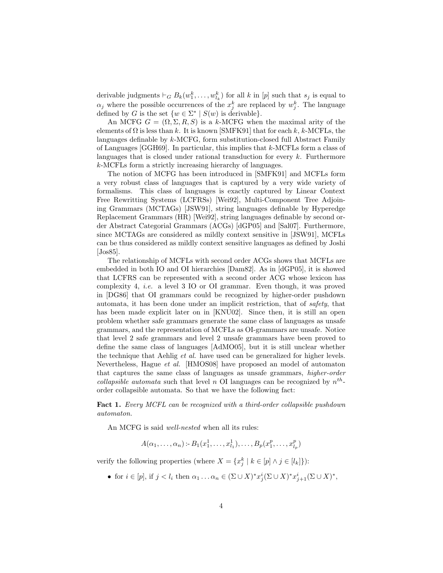derivable judgments  $\vdash_G B_k(w_1^k, \ldots, w_{l_k}^k)$  for all k in [p] such that  $s_j$  is equal to  $\alpha_j$  where the possible occurrences of the  $x_j^k$  are replaced by  $w_j^k$ . The language defined by G is the set  $\{w \in \Sigma^* \mid S(w) \text{ is derivable}\}.$ 

An MCFG  $G = (\Omega, \Sigma, R, S)$  is a k-MCFG when the maximal arity of the elements of  $\Omega$  is less than k. It is known [SMFK91] that for each k, k-MCFLs, the languages definable by k-MCFG, form substitution-closed full Abstract Family of Languages [GGH69]. In particular, this implies that  $k$ -MCFLs form a class of languages that is closed under rational transduction for every  $k$ . Furthermore k-MCFLs form a strictly increasing hierarchy of languages.

The notion of MCFG has been introduced in [SMFK91] and MCFLs form a very robust class of languages that is captured by a very wide variety of formalisms. This class of languages is exactly captured by Linear Context Free Rewritting Systems (LCFRSs) [Wei92], Multi-Component Tree Adjoining Grammars (MCTAGs) [JSW91], string languages definable by Hyperedge Replacement Grammars (HR) [Wei92], string languages definable by second order Abstract Categorial Grammars (ACGs) [dGP05] and [Sal07]. Furthermore, since MCTAGs are considered as mildly context sensitive in [JSW91], MCFLs can be thus considered as mildly context sensitive languages as defined by Joshi [Jos85].

The relationship of MCFLs with second order ACGs shows that MCFLs are embedded in both IO and OI hierarchies [Dam82]. As in [dGP05], it is showed that LCFRS can be represented with a second order ACG whose lexicon has complexity 4, i.e. a level 3 IO or OI grammar. Even though, it was proved in [DG86] that OI grammars could be recognized by higher-order pushdown automata, it has been done under an implicit restriction, that of safety, that has been made explicit later on in [KNU02]. Since then, it is still an open problem whether safe grammars generate the same class of languages as unsafe grammars, and the representation of MCFLs as OI-grammars are unsafe. Notice that level 2 safe grammars and level 2 unsafe grammars have been proved to define the same class of languages [AdMO05], but it is still unclear whether the technique that Aehlig et al. have used can be generalized for higher levels. Nevertheless, Hague et al. [HMOS08] have proposed an model of automaton that captures the same class of languages as unsafe grammars, higher-order collapsible automata such that level n OI languages can be recognized by  $n^{th}$ order collapsible automata. So that we have the following fact:

Fact 1. Every MCFL can be recognized with a third-order collapsible pushdown automaton.

An MCFG is said well-nested when all its rules:

 $A(\alpha_1, \ldots, \alpha_n) \in B_1(x_1^1, \ldots, x_{l_1}^1), \ldots, B_p(x_1^p, \ldots, x_{l_p}^p)$ 

verify the following properties (where  $X = \{x_j^k \mid k \in [p] \land j \in [l_k]\}\)$ :

• for  $i \in [p]$ , if  $j < l_i$  then  $\alpha_1 \dots \alpha_n \in (\Sigma \cup X)^* x_j^i (\Sigma \cup X)^* x_{j+1}^i (\Sigma \cup X)^*$ ,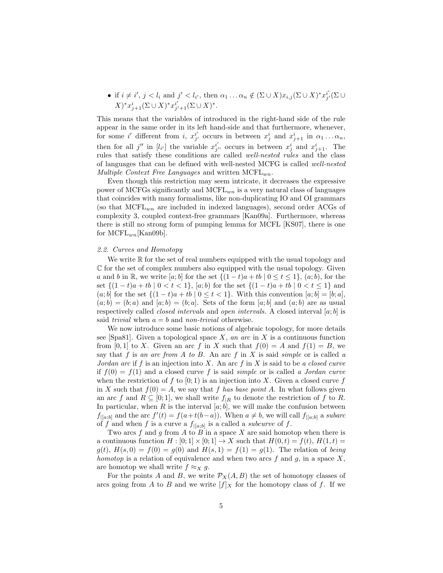• if 
$$
i \neq i', j < l_i
$$
 and  $j' < l_{i'}$ , then  $\alpha_1 \dots \alpha_n \notin (\Sigma \cup X)x_{i,j}(\Sigma \cup X)^* x_{j'}^{i'}(\Sigma \cup X)^* x_{j+1}^{i'}(\Sigma \cup X)^* x_{j+1}^{i'}(\Sigma \cup X)^*.$ 

This means that the variables of introduced in the right-hand side of the rule appear in the same order in its left hand-side and that furthermore, whenever, for some i' different from i,  $x_{j'}^{i'}$  occurs in between  $x_j^i$  and  $x_{j+1}^i$  in  $\alpha_1 \dots \alpha_n$ , then for all j'' in  $[l_{i'}]$  the variable  $x_{j''}^{i'}$  occurs in between  $x_j^i$  and  $x_{j+1}^i$ . The rules that satisfy these conditions are called well-nested rules and the class of languages that can be defined with well-nested MCFG is called well-nested Multiple Context Free Languages and written  $MCFL_{wn}$ .

Even though this restriction may seem intricate, it decreases the expressive power of MCFGs significantly and  $MCFL_{wn}$  is a very natural class of languages that coincides with many formalisms, like non-duplicating IO and OI grammars (so that  $MCFL_{wn}$  are included in indexed languages), second order ACGs of complexity 3, coupled context-free grammars [Kan09a]. Furthermore, whereas there is still no strong form of pumping lemma for MCFL [KS07], there is one for  $MCFL_{wn}$ [Kan09b].

### 2.2. Curves and Homotopy

We write  $\mathbb R$  for the set of real numbers equipped with the usual topology and  $\mathbb C$  for the set of complex numbers also equipped with the usual topology. Given a and b in R, we write [a; b] for the set  $\{(1-t)a + tb \mid 0 \le t \le 1\}$ , (a; b), for the set  $\{(1-t)a + tb \mid 0 < t < 1\}$ ,  $[a, b]$  for the set  $\{(1-t)a + tb \mid 0 < t \le 1\}$  and  $(a; b]$  for the set  $\{(1-t)a + tb \mid 0 \le t < 1\}$ . With this convention  $[a; b] = [b; a]$ ,  $(a; b) = (b; a)$  and  $[a; b) = (b; a]$ . Sets of the form  $[a; b]$  and  $(a; b)$  are as usual respectively called *closed intervals* and *open intervals*. A closed interval  $[a; b]$  is said trivial when  $a = b$  and non-trivial otherwise.

We now introduce some basic notions of algebraic topology, for more details see [Spa81]. Given a topological space  $X$ , an arc in  $X$  is a continuous function from [0, 1] to X. Given an arc f in X such that  $f(0) = A$  and  $f(1) = B$ , we say that f is an arc from A to B. An arc f in X is said simple or is called a Jordan arc if f is an injection into X. An arc f in X is said to be a closed curve if  $f(0) = f(1)$  and a closed curve f is said *simple* or is called a *Jordan curve* when the restriction of f to  $[0, 1)$  is an injection into X. Given a closed curve f in X such that  $f(0) = A$ , we say that f has base point A. In what follows given an arc f and  $R \subseteq [0,1]$ , we shall write  $f_{\vert R}$  to denote the restriction of f to R. In particular, when  $R$  is the interval  $[a, b]$ , we will make the confusion between  $f_{|[a;b]}$  and the arc  $f'(t) = f(a+t(b-a))$ . When  $a \neq b$ , we will call  $f_{|[a;b]}$  a subarc of f and when f is a curve a  $f_{|[a;b]}$  is a called a *subcurve* of f.

Two arcs f and g from A to B in a space X are said homotop when there is a continuous function  $H : [0; 1] \times [0; 1] \rightarrow X$  such that  $H(0, t) = f(t)$ ,  $H(1, t) =$  $g(t)$ ,  $H(s, 0) = f(0) = g(0)$  and  $H(s, 1) = f(1) = g(1)$ . The relation of *being* homotop is a relation of equivalence and when two arcs  $f$  and  $g$ , in a space  $X$ , are homotop we shall write  $f \approx_X g$ .

For the points A and B, we write  $\mathcal{P}_X(A, B)$  the set of homotopy classes of arcs going from A to B and we write  $[f]_X$  for the homotopy class of f. If we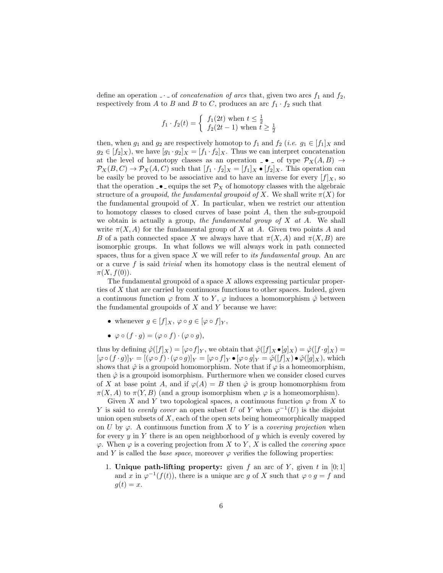define an operation  $\Box$  of *concatenation of arcs* that, given two arcs  $f_1$  and  $f_2$ , respectively from A to B and B to C, produces an arc  $f_1 \cdot f_2$  such that

$$
f_1 \cdot f_2(t) = \begin{cases} f_1(2t) \text{ when } t \le \frac{1}{2} \\ f_2(2t-1) \text{ when } t \ge \frac{1}{2} \end{cases}
$$

then, when  $g_1$  and  $g_2$  are respectively homotop to  $f_1$  and  $f_2$  (*i.e.*  $g_1 \in [f_1]_X$  and  $g_2 \in [f_2]_X$ , we have  $[g_1 \cdot g_2]_X = [f_1 \cdot f_2]_X$ . Thus we can interpret concatenation at the level of homotopy classes as an operation  $\Box \bullet \Box$  of type  $\mathcal{P}_X(A, B) \rightarrow$  $\mathcal{P}_X(B,C) \to \mathcal{P}_X(A,C)$  such that  $[f_1 \cdot f_2]_X = [f_1]_X \bullet [f_2]_X$ . This operation can be easily be proved to be associative and to have an inverse for every  $[f]_X$ , so that the operation  $\bullet$  - equips the set  $\mathcal{P}_X$  of homotopy classes with the algebraic structure of a groupoid, the fundamental groupoid of X. We shall write  $\pi(X)$  for the fundamental groupoid of X. In particular, when we restrict our attention to homotopy classes to closed curves of base point A, then the sub-groupoid we obtain is actually a group, the fundamental group of  $X$  at  $A$ . We shall write  $\pi(X, A)$  for the fundamental group of X at A. Given two points A and B of a path connected space X we always have that  $\pi(X, A)$  and  $\pi(X, B)$  are isomorphic groups. In what follows we will always work in path connected spaces, thus for a given space  $X$  we will refer to *its fundamental group*. An arc or a curve  $f$  is said *trivial* when its homotopy class is the neutral element of  $\pi(X, f(0)).$ 

The fundamental groupoid of a space  $X$  allows expressing particular properties of X that are carried by continuous functions to other spaces. Indeed, given a continuous function  $\varphi$  from X to Y,  $\varphi$  induces a homomorphism  $\hat{\varphi}$  between the fundamental groupoids of  $X$  and  $Y$  because we have:

- whenever  $g \in [f]_X$ ,  $\varphi \circ g \in [\varphi \circ f]_Y$ ,
- $\varphi \circ (f \cdot q) = (\varphi \circ f) \cdot (\varphi \circ q),$

thus by defining  $\hat{\varphi}([f]_X) = [\varphi \circ f]_Y$ , we obtain that  $\hat{\varphi}([f]_X \bullet [g]_X) = \hat{\varphi}([f \cdot g]_X) =$  $[\varphi \circ (f \cdot g)]_Y = [(\varphi \circ f) \cdot (\varphi \circ g)]_Y = [\varphi \circ f]_Y \bullet [\varphi \circ g]_Y = \hat{\varphi}([f]_X) \bullet \hat{\varphi}([g]_X),$  which shows that  $\hat{\varphi}$  is a groupoid homomorphism. Note that if  $\varphi$  is a homeomorphism, then  $\hat{\varphi}$  is a groupoid isomorphism. Furthermore when we consider closed curves of X at base point A, and if  $\varphi(A) = B$  then  $\hat{\varphi}$  is group homomorphism from  $\pi(X, A)$  to  $\pi(Y, B)$  (and a group isomorphism when  $\varphi$  is a homeomorphism).

Given X and Y two topological spaces, a continuous function  $\varphi$  from X to Y is said to evenly cover an open subset U of Y when  $\varphi^{-1}(U)$  is the disjoint union open subsets of  $X$ , each of the open sets being homeomorphically mapped on U by  $\varphi$ . A continuous function from X to Y is a *covering projection* when for every  $y$  in  $Y$  there is an open neighborhood of  $y$  which is evenly covered by  $\varphi$ . When  $\varphi$  is a covering projection from X to Y, X is called the *covering space* and Y is called the *base space*, moreover  $\varphi$  verifies the following properties:

1. Unique path-lifting property: given f an arc of Y, given t in  $[0;1]$ and x in  $\varphi^{-1}(f(t))$ , there is a unique arc g of X such that  $\varphi \circ g = f$  and  $g(t) = x.$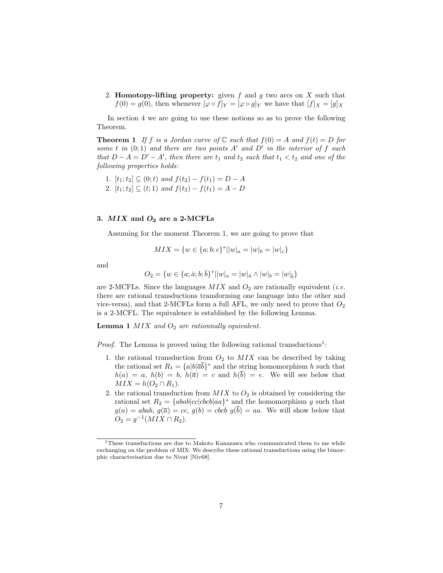2. Homotopy-lifting property: given  $f$  and  $g$  two arcs on  $X$  such that  $f(0) = g(0)$ , then whenever  $[\varphi \circ f]_Y = [\varphi \circ g]_Y$  we have that  $[f]_X = [g]_X$ 

In section 4 we are going to use these notions so as to prove the following Theorem.

**Theorem 1** If f is a Jordan curve of  $\mathbb C$  such that  $f(0) = A$  and  $f(t) = D$  for some t in  $(0; 1)$  and there are two points A' and D' in the interior of f such that  $D - A = D' - A'$ , then there are  $t_1$  and  $t_2$  such that  $t_1 < t_2$  and one of the following properties holds:

1.  $[t_1;t_2] \subseteq (0;t)$  and  $f(t_2) - f(t_1) = D - A$ 2.  $[t_1;t_2] \subseteq (t;1)$  and  $f(t_2) - f(t_1) = A - D$ 

## 3.  $MIX$  and  $O<sub>2</sub>$  are a 2-MCFLs

Assuming for the moment Theorem 1, we are going to prove that

$$
MIX = \{w \in \{a; b; c\}^* || w|_a = |w|_b = |w|_c\}
$$

and

$$
O_2 = \{ w \in \{a; \bar{a}; b; \bar{b}\}^* || w|_a = |w|_{\bar{a}} \wedge |w|_b = |w|_{\bar{b}} \}
$$

are 2-MCFLs. Since the languages  $MIX$  and  $O_2$  are rationally equivalent (*i.e.* there are rational transductions transforming one language into the other and vice-versa), and that 2-MCFLs form a full AFL, we only need to prove that  $O_2$ is a 2-MCFL. The equivalence is established by the following Lemma.

**Lemma 1** MIX and  $O_2$  are rationnally equivalent.

*Proof.* The Lemma is proved using the following rational transductions<sup>1</sup>:

- 1. the rational transduction from  $O_2$  to  $MIX$  can be described by taking the rational set  $R_1 = \{a|b|\overline{a}\overline{b}\}^*$  and the string homomorphism h such that  $h(a) = a, h(b) = b, h(\overline{a}) = c$  and  $h(\overline{b}) = \epsilon$ . We will see below that  $MIX = h(O_2 \cap R_1).$
- 2. the rational transduction from  $MIX$  to  $O_2$  is obtained by considering the rational set  $R_2 = \{abab|cc|cbcb|aa\}^*$  and the homomorphism g such that  $g(a) = abab, g(\overline{a}) = cc, g(b) = cbcb \overline{g(b)} = aa.$  We will show below that  $O_2 = g^{-1}(MIX \cap R_2).$

<sup>&</sup>lt;sup>1</sup>These transductions are due to Makoto Kanazawa who communicated them to me while exchanging on the problem of MIX. We describe these rational transductions using the bimorphic characterisation due to Nivat [Niv68].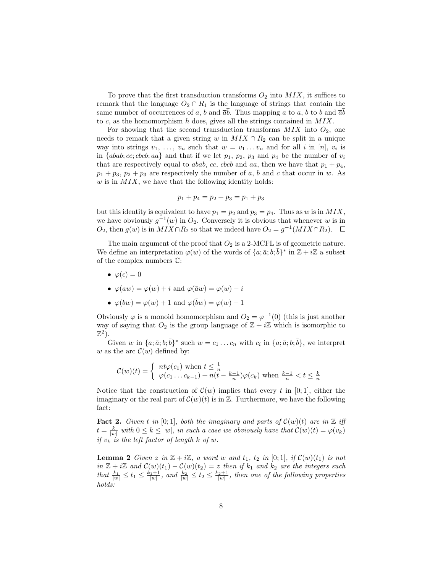To prove that the first transduction transforms  $O_2$  into  $MIX$ , it suffices to remark that the language  $O_2 \cap R_1$  is the language of strings that contain the same number of occurrences of a, b and  $\bar{a}b$ . Thus mapping a to a, b to b and  $\bar{a}b$ to  $c$ , as the homomorphism  $h$  does, gives all the strings contained in  $MIX$ .

For showing that the second transduction transforms  $MIX$  into  $O_2$ , one needs to remark that a given string w in  $MIX \cap R_2$  can be split in a unique way into strings  $v_1, \ldots, v_n$  such that  $w = v_1 \ldots v_n$  and for all i in [n],  $v_i$  is in  ${abab; cc; cbcb; aa}$  and that if we let  $p_1, p_2, p_3$  and  $p_4$  be the number of  $v_i$ that are respectively equal to *abab, cc, cbcb* and *aa*, then we have that  $p_1 + p_4$ ,  $p_1 + p_3$ ,  $p_2 + p_3$  are respectively the number of a, b and c that occur in w. As w is in  $MIX$ , we have that the following identity holds:

$$
p_1 + p_4 = p_2 + p_3 = p_1 + p_3
$$

but this identity is equivalent to have  $p_1 = p_2$  and  $p_3 = p_4$ . Thus as w is in MIX, we have obviously  $g^{-1}(w)$  in  $O_2$ . Conversely it is obvious that whenever w is in  $O_2$ , then  $g(w)$  is in  $MIX \cap R_2$  so that we indeed have  $O_2 = g^{-1}(MIX \cap R_2)$ .

The main argument of the proof that  $O_2$  is a 2-MCFL is of geometric nature. We define an interpretation  $\varphi(w)$  of the words of  $\{a; \bar{a}; b; \bar{b}\}^*$  in  $\mathbb{Z} + i\mathbb{Z}$  a subset of the complex numbers C:

- $\varphi(\epsilon) = 0$
- $\varphi(aw) = \varphi(w) + i$  and  $\varphi(\overline{a}w) = \varphi(w) i$
- $\varphi(bw) = \varphi(w) + 1$  and  $\varphi(\bar{b}w) = \varphi(w) 1$

Obviously  $\varphi$  is a monoid homomorphism and  $O_2 = \varphi^{-1}(0)$  (this is just another way of saying that  $O_2$  is the group language of  $\mathbb{Z} + i\mathbb{Z}$  which is isomorphic to  $\mathbb{Z}^2$ ).

Given w in  $\{a; \bar{a}; b; \bar{b}\}^*$  such  $w = c_1 \ldots c_n$  with  $c_i$  in  $\{a; \bar{a}; b; \bar{b}\}$ , we interpret w as the arc  $\mathcal{C}(w)$  defined by:

$$
\mathcal{C}(w)(t) = \begin{cases} nt\varphi(c_1) \text{ when } t \leq \frac{1}{n} \\ \varphi(c_1 \dots c_{k-1}) + n(t - \frac{k-1}{n})\varphi(c_k) \text{ when } \frac{k-1}{n} < t \leq \frac{k}{n} \end{cases}
$$

Notice that the construction of  $\mathcal{C}(w)$  implies that every t in [0; 1], either the imaginary or the real part of  $\mathcal{C}(w)(t)$  is in  $\mathbb{Z}$ . Furthermore, we have the following fact:

**Fact 2.** Given t in [0;1], both the imaginary and parts of  $\mathcal{C}(w)(t)$  are in  $\mathbb{Z}$  iff  $t = \frac{k}{|w|}$  with  $0 \leq k \leq |w|$ , in such a case we obviously have that  $\mathcal{C}(w)(t) = \varphi(v_k)$ if  $v_k$  is the left factor of length k of w.

**Lemma 2** Given z in  $\mathbb{Z} + i\mathbb{Z}$ , a word w and  $t_1$ ,  $t_2$  in [0;1], if  $\mathcal{C}(w)(t_1)$  is not in  $\mathbb{Z} + i\mathbb{Z}$  and  $\mathcal{C}(w)(t_1) - \mathcal{C}(w)(t_2) = z$  then if  $k_1$  and  $k_2$  are the integers such that  $\frac{k_1}{|w|} \le t_1 \le \frac{k_1+1}{|w|}$ , and  $\frac{k_2}{|w|} \le t_2 \le \frac{k_2+1}{|w|}$ , then one of the following properties holds: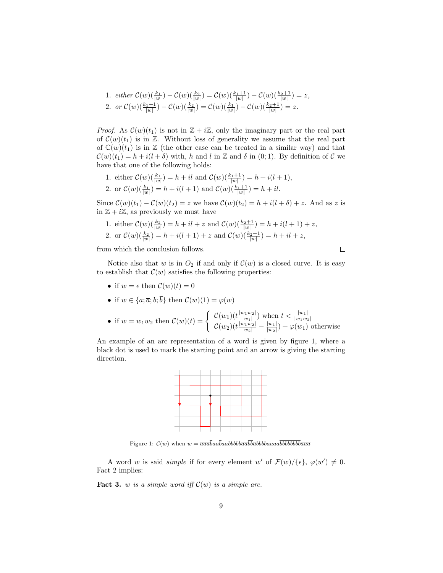1. either 
$$
C(w) \left( \frac{k_1}{|w|} \right) - C(w) \left( \frac{k_2}{|w|} \right) = C(w) \left( \frac{k_1+1}{|w|} \right) - C(w) \left( \frac{k_2+1}{|w|} \right) = z
$$
,  
\n2. or  $C(w) \left( \frac{k_1+1}{|w|} \right) - C(w) \left( \frac{k_2}{|w|} \right) = C(w) \left( \frac{k_1}{|w|} \right) - C(w) \left( \frac{k_2+1}{|w|} \right) = z$ .

*Proof.* As  $\mathcal{C}(w)(t_1)$  is not in  $\mathbb{Z} + i\mathbb{Z}$ , only the imaginary part or the real part of  $\mathcal{C}(w)(t_1)$  is in  $\mathbb{Z}$ . Without loss of generality we assume that the real part of  $\mathbb{C}(w)(t_1)$  is in Z (the other case can be treated in a similar way) and that  $\mathcal{C}(w)(t_1) = h + i(l + \delta)$  with, h and l in Z and  $\delta$  in (0; 1). By definition of C we have that one of the following holds:

1. either 
$$
\mathcal{C}(w)\left(\frac{k_1}{|w|}\right) = h + il
$$
 and  $\mathcal{C}(w)\left(\frac{k_1+1}{|w|}\right) = h + i(l+1)$ , 2. or  $\mathcal{C}(w)\left(\frac{k_1}{|w|}\right) = h + i(l+1)$  and  $\mathcal{C}(w)\left(\frac{k_1+1}{|w|}\right) = h + il$ .

Since  $\mathcal{C}(w)(t_1) - \mathcal{C}(w)(t_2) = z$  we have  $\mathcal{C}(w)(t_2) = h + i(l+\delta) + z$ . And as z is in  $\mathbb{Z} + i\mathbb{Z}$ , as previously we must have

1. either 
$$
C(w) \left( \frac{k_2}{|w|} \right) = h + il + z
$$
 and  $C(w) \left( \frac{k_2+1}{|w|} \right) = h + i(l+1) + z$ ,  
2. or  $C(w) \left( \frac{k_2}{|w|} \right) = h + i(l+1) + z$  and  $C(w) \left( \frac{k_2+1}{|w|} \right) = h + il + z$ ,

from which the conclusion follows.

 $\Box$ 

Notice also that w is in  $O_2$  if and only if  $\mathcal{C}(w)$  is a closed curve. It is easy to establish that  $\mathcal{C}(w)$  satisfies the following properties:

• if  $w = \epsilon$  then  $\mathcal{C}(w)(t) = 0$ 

• if 
$$
w \in \{a; \overline{a}; b; b\}
$$
 then  $\mathcal{C}(w)(1) = \varphi(w)$ 

• if 
$$
w = w_1 w_2
$$
 then  $\mathcal{C}(w)(t) = \begin{cases} \mathcal{C}(w_1)(t \frac{|w_1 w_2|}{|w_1|}) \text{ when } t < \frac{|w_1|}{|w_1 w_2|} \\ \mathcal{C}(w_2)(t \frac{|w_1 w_2|}{|w_2|} - \frac{|w_1|}{|w_2|}) + \varphi(w_1) \text{ otherwise} \end{cases}$ 

An example of an arc representation of a word is given by figure 1, where a black dot is used to mark the starting point and an arrow is giving the starting direction.



Figure 1:  $\mathcal{C}(w)$  when  $w = \overline{aa}a\overline{b}aa\overline{b}aa\overline{b}bbb\overline{b}ba\overline{b}ab\overline{b}baaa\overline{a}\overline{b}b\overline{b}bb\overline{b}b\overline{b}ab$ 

A word w is said *simple* if for every element w' of  $\mathcal{F}(w)/\{\epsilon\}$ ,  $\varphi(w') \neq 0$ . Fact 2 implies:

**Fact 3.** w is a simple word iff  $\mathcal{C}(w)$  is a simple arc.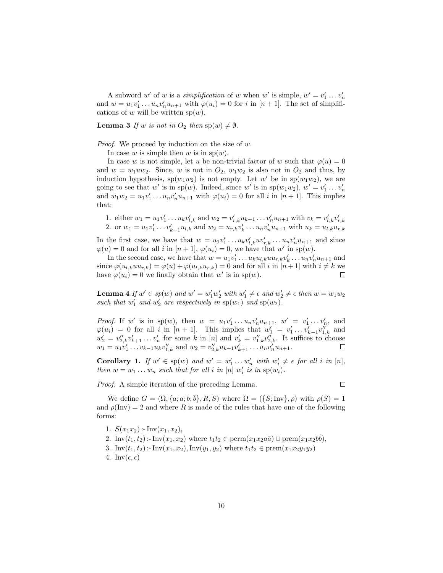A subword w' of w is a *simplification* of w when w' is simple,  $w' = v'_1 \dots v'_n$ and  $w = u_1v'_1 \dots u_nv'_nu_{n+1}$  with  $\varphi(u_i) = 0$  for i in  $[n+1]$ . The set of simplifications of w will be written  $sp(w)$ .

**Lemma 3** If w is not in  $O_2$  then  $sp(w) \neq \emptyset$ .

Proof. We proceed by induction on the size of w.

In case w is simple then w is in  $\text{sp}(w)$ .

In case w is not simple, let u be non-trivial factor of w such that  $\varphi(u) = 0$ and  $w = w_1 u w_2$ . Since, w is not in  $O_2$ ,  $w_1 w_2$  is also not in  $O_2$  and thus, by induction hypothesis,  $sp(w_1w_2)$  is not empty. Let w' be in  $sp(w_1w_2)$ , we are going to see that w' is in sp(w). Indeed, since w' is in sp( $w_1w_2$ ),  $w' = v'_1 \ldots v'_n$ and  $w_1w_2 = u_1v'_1 \dots u_nv'_nu_{n+1}$  with  $\varphi(u_i) = 0$  for all i in  $[n+1]$ . This implies that:

1. either  $w_1 = u_1 v'_1 \dots u_k v'_{l,k}$  and  $w_2 = v'_{r,k} u_{k+1} \dots v'_n u_{n+1}$  with  $v_k = v'_{l,k} v'_{r,k}$ 

2. or  $w_1 = u_1 v'_1 \dots v'_{k-1} u_{l,k}$  and  $w_2 = u_{r,k} v'_k \dots u_n v'_n u_{n+1}$  with  $u_k = u_{l,k} u_{r,k}$ 

In the first case, we have that  $w = u_1v'_1 \dots u_kv'_{l,k}uv'_{r,k} \dots u_nv'_nu_{r+1}$  and since  $\varphi(u) = 0$  and for all i in  $[n+1], \varphi(u_i) = 0$ , we have that w' in sp(w).

In the second case, we have that  $w = u_1v'_1 \dots u_k u_{l,k} u u_{r,k} v'_k \dots u_n v'_n u_{n+1}$  and since  $\varphi(u_{l,k}uu_{r,k}) = \varphi(u) + \varphi(u_{l,k}u_{r,k}) = 0$  and for all i in  $[n+1]$  with  $i \neq k$  we have  $\varphi(u_i) = 0$  we finally obtain that w' is in sp(w).  $\Box$ 

**Lemma 4** If  $w' \in sp(w)$  and  $w' = w'_1 w'_2$  with  $w'_1 \neq \epsilon$  and  $w'_2 \neq \epsilon$  then  $w = w_1 w_2$ such that  $w'_1$  and  $w'_2$  are respectively in  $sp(w_1)$  and  $sp(w_2)$ .

*Proof.* If w' is in sp(w), then  $w = u_1v'_1 \dots u_nv'_nu_{n+1}$ ,  $w' = v'_1 \dots v'_n$ , and  $\varphi(u_i) = 0$  for all i in  $[n+1]$ . This implies that  $w'_1 = v'_1 \dots v'_{k-1} v''_{1,k}$  and  $w_2' = v_{2,k}''v_{k+1}' \dots v_n'$  for some k in [n] and  $v_k' = v_{1,k}''v_{2,k}''$ . It suffices to choose  $w_1 = u_1v_1' \dots v_{k-1}u_kv_{1,k}''$  and  $w_2 = v_{2,k}''u_{k+1}v_{k+1}' \dots u_n v_n'u_{n+1}.$ 

**Corollary 1.** If  $w' \in sp(w)$  and  $w' = w'_1 \dots w'_n$  with  $w'_i \neq \epsilon$  for all i in [n], then  $w = w_1 \dots w_n$  such that for all i in [n]  $w'_i$  is in  $sp(w_i)$ .

*Proof.* A simple iteration of the preceding Lemma.

 $\Box$ 

We define  $G = (\Omega, \{a; \overline{a}; b; \overline{b}\}, R, S)$  where  $\Omega = (\{S; Inv\}, \rho)$  with  $\rho(S) = 1$ and  $\rho(\text{Inv}) = 2$  and where R is made of the rules that have one of the following forms:

1.  $S(x_1x_2)$ : Inv $(x_1, x_2)$ , 2. Inv $(t_1, t_2)$ :-Inv $(x_1, x_2)$  where  $t_1 t_2 \in \text{perm}(x_1 x_2 a\bar{a}) \cup \text{ prem}(x_1 x_2 b\bar{b}),$ 3. Inv $(t_1, t_2)$ :-Inv $(x_1, x_2)$ , Inv $(y_1, y_2)$  where  $t_1t_2 \in \text{prem}(x_1x_2y_1y_2)$ 4. Inv $(\epsilon, \epsilon)$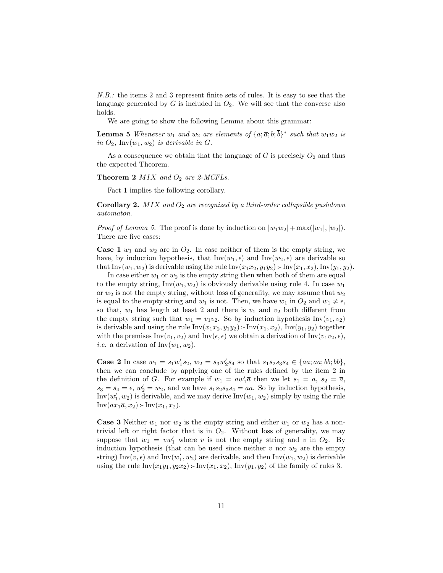N.B.: the items 2 and 3 represent finite sets of rules. It is easy to see that the language generated by  $G$  is included in  $O_2$ . We will see that the converse also holds.

We are going to show the following Lemma about this grammar:

**Lemma 5** Whenever  $w_1$  and  $w_2$  are elements of  $\{a; \overline{a}; b; \overline{b}\}^*$  such that  $w_1w_2$  is in  $O_2$ , Inv $(w_1, w_2)$  is derivable in G.

As a consequence we obtain that the language of  $G$  is precisely  $O_2$  and thus the expected Theorem.

**Theorem 2** MIX and  $O_2$  are 2-MCFLs.

Fact 1 implies the following corollary.

**Corollary 2.** MIX and  $O_2$  are recognized by a third-order collapsible pushdown automaton.

*Proof of Lemma 5.* The proof is done by induction on  $|w_1w_2| + \max(|w_1|, |w_2|)$ . There are five cases:

**Case 1**  $w_1$  and  $w_2$  are in  $O_2$ . In case neither of them is the empty string, we have, by induction hypothesis, that  $Inv(w_1, \epsilon)$  and  $Inv(w_2, \epsilon)$  are derivable so that Inv $(w_1, w_2)$  is derivable using the rule Inv $(x_1x_2, y_1y_2)$ : Inv $(x_1, x_2)$ , Inv $(y_1, y_2)$ .

In case either  $w_1$  or  $w_2$  is the empty string then when both of them are equal to the empty string,  $Inv(w_1, w_2)$  is obviously derivable using rule 4. In case  $w_1$ or  $w_2$  is not the empty string, without loss of generality, we may assume that  $w_2$ is equal to the empty string and  $w_1$  is not. Then, we have  $w_1$  in  $O_2$  and  $w_1 \neq \epsilon$ , so that,  $w_1$  has length at least 2 and there is  $v_1$  and  $v_2$  both different from the empty string such that  $w_1 = v_1v_2$ . So by induction hypothesis Inv( $v_1, v_2$ ) is derivable and using the rule  $Inv(x_1x_2, y_1y_2)$ :  $Inv(x_1, x_2)$ ,  $Inv(y_1, y_2)$  together with the premises  $\text{Inv}(v_1, v_2)$  and  $\text{Inv}(\epsilon, \epsilon)$  we obtain a derivation of  $\text{Inv}(v_1v_2, \epsilon)$ , *i.e.* a derivation of  $Inv(w_1, w_2)$ .

**Case 2** In case  $w_1 = s_1 w_1' s_2$ ,  $w_2 = s_3 w_2' s_4$  so that  $s_1 s_2 s_3 s_4 \in {\overline{a} \overline{a}}; \overline{a} \overline{a}; \overline{b} \overline{b}; \overline{b} \overline{b}$ , then we can conclude by applying one of the rules defined by the item 2 in the definition of G. For example if  $w_1 = aw'_1 \overline{a}$  then we let  $s_1 = a$ ,  $s_2 = \overline{a}$ ,  $s_3 = s_4 = \epsilon$ ,  $w_2' = w_2$ , and we have  $s_1 s_2 s_3 s_4 = a\overline{a}$ . So by induction hypothesis, Inv $(w_1', w_2)$  is derivable, and we may derive Inv $(w_1, w_2)$  simply by using the rule  $Inv(ax_1\overline{a}, x_2)$  :-  $Inv(x_1, x_2)$ .

**Case 3** Neither  $w_1$  nor  $w_2$  is the empty string and either  $w_1$  or  $w_2$  has a nontrivial left or right factor that is in  $O_2$ . Without loss of generality, we may suppose that  $w_1 = vw'_1$  where v is not the empty string and v in  $O_2$ . By induction hypothesis (that can be used since neither  $v$  nor  $w_2$  are the empty string) Inv $(v, \epsilon)$  and Inv $(w'_1, w_2)$  are derivable, and then Inv $(w_1, w_2)$  is derivable using the rule  $Inv(x_1y_1, y_2x_2)$ :  $Inv(x_1, x_2)$ ,  $Inv(y_1, y_2)$  of the family of rules 3.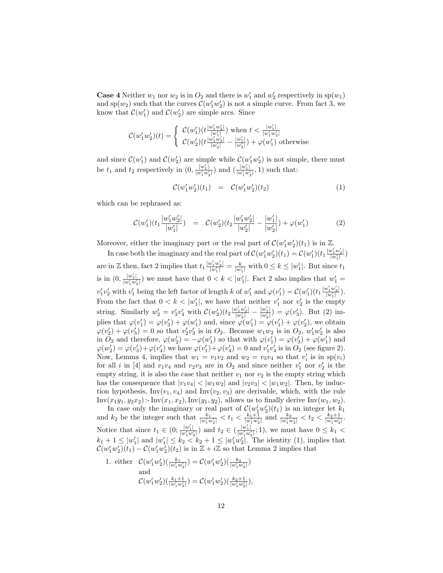**Case 4** Neither  $w_1$  nor  $w_2$  is in  $O_2$  and there is  $w'_1$  and  $w'_2$  respectively in  $sp(w_1)$ and sp $(w_2)$  such that the curves  $\mathcal{C}(w'_1w'_2)$  is not a simple curve. From fact 3, we know that  $\mathcal{C}(w'_1)$  and  $\mathcal{C}(w'_2)$  are simple arcs. Since

$$
\mathcal{C}(w_1' w_2')(t) = \left\{ \begin{array}{l} \mathcal{C}(w_1')(t\frac{|w_1' w_2'|}{|w_1'|}) \text{ when } t<\frac{|w_1'|}{|w_1' w_2'|}\\ \mathcal{C}(w_2')(t\frac{|w_1' w_2'|}{|w_2'|}-\frac{|w_1'|}{|w_2'|})+\varphi(w_1') \text{ otherwise} \end{array} \right.
$$

and since  $\mathcal{C}(w_1')$  and  $\mathcal{C}(w_2')$  are simple while  $\mathcal{C}(w_1'w_2')$  is not simple, there must 1) and  $C(w_2)$  are simple while  $C(w_1w_2)$ be  $t_1$  and  $t_2$  respectively in  $(0, \frac{|w'_1|}{|w'_1w'_2|})$  and  $(\frac{|w'_1|}{|w'_1w'_2|}, 1)$  such that:

$$
\mathcal{C}(w'_1 w'_2)(t_1) = \mathcal{C}(w'_1 w'_2)(t_2) \tag{1}
$$

which can be rephrased as:

$$
\mathcal{C}(w_1')(t_1 \frac{|w_1'w_2'|}{|w_1'|}) = \mathcal{C}(w_2')(t_2 \frac{|w_1'w_2'|}{|w_2'|} - \frac{|w_1'|}{|w_2'|}) + \varphi(w_1')
$$
(2)

Moreover, either the imaginary part or the real part of  $\mathcal{C}(w'_1w'_2)(t_1)$  is in  $\mathbb{Z}$ .

In case both the imaginary and the real part of  $\mathcal{C}(w'_1w'_2)(t_1) = \mathcal{C}(w'_1)(t_1 \frac{|w'_1w'_2|}{|w'_1|})$ are in Z then, fact 2 implies that  $t_1 \frac{|w'_1 w'_2|}{|w'_1|} = \frac{k}{|w'_1|}$  with  $0 \le k \le |w'_1|$ . But since  $t_1$ is in  $(0, \frac{|w'_1|}{|w'_1w'_2|})$  we must have that  $0 < k < |w'_1|$ . Fact 2 also implies that  $w'_1 =$  $v'_1v'_2$  with  $v'_1$  being the left factor of length k of  $w'_1$  and  $\varphi(v'_1) = \mathcal{C}(w'_1)(t_1 \frac{|w'_1 w'_2|}{|w'_1|}).$ From the fact that  $0 < k < |w'_1|$ , we have that neither  $v'_1$  nor  $v'_2$  is the empty string. Similarly  $w_2' = v_3'v_4'$  with  $\mathcal{C}(w_2')(t_2\frac{|w_1'w_2'|}{|w_2'|}-\frac{|w_1'|}{|w_2'|}) = \varphi(v_3').$  But (2) implies that  $\varphi(v_1') = \varphi(v_3') + \varphi(w_1')$  and, since  $\varphi(w_1') = \varphi(v_1') + \varphi(v_2'),$  we obtain  $\varphi(v_2') + \varphi(v_3') = 0$  so that  $v_2'v_3'$  is in  $O_2$ . Because  $w_1w_2$  is in  $O_2$ ,  $w_1'w_2'$  is also in  $O_2$  and therefore,  $\varphi(w_2') = -\varphi(w_1')$  so that with  $\varphi(v_1') = \varphi(v_3') + \varphi(w_1')$  and  $\varphi(w_2') = \varphi(v_3') + \varphi(v_4')$  we have  $\varphi(v_1') + \varphi(v_4') = 0$  and  $v_1'v_4'$  is in  $O_2$  (see figure 2). Now, Lemma 4, implies that  $w_1 = v_1v_2$  and  $w_2 = v_3v_4$  so that  $v'_i$  is in  $sp(v_i)$ for all *i* in [4] and  $v_1v_4$  and  $v_2v_3$  are in  $O_2$  and since neither  $v'_1$  nor  $v'_2$  is the empty string, it is also the case that neither  $v_1$  nor  $v_2$  is the empty string which has the consequence that  $|v_1v_4| < |w_1w_2|$  and  $|v_2v_3| < |w_1w_2|$ . Then, by induction hypothesis,  $Inv(v_1, v_4)$  and  $Inv(v_2, v_3)$  are derivable, which, with the rule  $Inv(x_1y_1, y_2x_2) : Inv(x_1, x_2), Inv(y_1, y_2),$  allows us to finally derive  $Inv(w_1, w_2)$ .

In case only the imaginary or real part of  $\mathcal{C}(w'_1w'_2)(t_1)$  is an integer let  $k_1$ and  $k_2$  be the integer such that  $\frac{k_1}{|w'_1w'_2|} < t_1 < \frac{k_1+1}{|w'_1w'_2|}$  and  $\frac{k_2}{|w'_1w'_2|} < t_2 < \frac{k_2+1}{|w'_1w'_2|}$ . Notice that since  $t_1 \in (0; \frac{|w'_1|}{|w'_1 w'_2|})$  and  $t_2 \in (\frac{|w'_1|}{|w'_1 w'_2|}; 1)$ , we must have  $0 \leq k_1$  $k_1 + 1 \leq |w'_1|$  and  $|w'_1| \leq k_2 < k_2 + 1 \leq |w'_1w'_2|$ . The identity (1), implies that  $\mathcal{C}(w'_1w'_2)(t_1) - \mathcal{C}(w'_1w'_2)(t_2)$  is in  $\mathbb{Z} + i\mathbb{Z}$  so that Lemma 2 implies that

1. either 
$$
C(w'_1 w'_2)(\frac{k_1}{|w'_1 w'_2|}) = C(w'_1 w'_2)(\frac{k_2}{|w'_1 w'_2|})
$$
  
and  $C(w'_1 w'_2)(\frac{k_1+1}{|w'_1 w'_2|}) = C(w'_1 w'_2)(\frac{k_2+1}{|w'_1 w'_2|}),$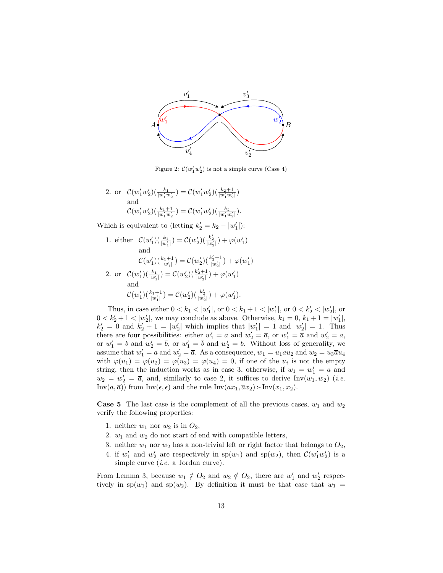

Figure 2:  $\mathcal{C}(w'_1w'_2)$  is not a simple curve (Case 4)

2. or  $\mathcal{C}(w'_1w'_2)(\frac{k_1}{|w'_1w'_2|}) = \mathcal{C}(w'_1w'_2)(\frac{k_2+1}{|w'_1w'_2|})$ and  $\mathcal{C}(w'_1w'_2)(\frac{k_1+1}{|w'_1w'_2|}) = \mathcal{C}(w'_1w'_2)(\frac{k_2}{|w'_1w'_2|}).$ 

Which is equivalent to (letting  $k'_2 = k_2 - |w'_1|$ ):

1. either  $\mathcal{C}(w_1')\left(\frac{k_1}{|w_1'|}\right) = \mathcal{C}(w_2')\left(\frac{k_2'}{|w_2'|}\right) + \varphi(w_1')$ and  $\mathcal{C}(w_1')(\frac{k_1+1}{|w_1'|}) = \mathcal{C}(w_2')(\frac{k_2'+1}{|w_2'|}) + \varphi(w_1')$ 2. or  $\mathcal{C}(w_1')\left(\frac{k_1}{|w_1'|}\right) = \mathcal{C}(w_2')\left(\frac{k_2'+1}{|w_2'|}\right) + \varphi(w_1')$ and  $\mathcal{C}(w_1')(\frac{k_1+1}{|w_1'|}) = \mathcal{C}(w_2')(\frac{k_2'}{|w_2'|}) + \varphi(w_1').$ 

Thus, in case either  $0 < k_1 < |w'_1|$ , or  $0 < k_1 + 1 < |w'_1|$ , or  $0 < k'_2 < |w'_2|$ , or  $0 < k'_2 + 1 < |w'_2|$ , we may conclude as above. Otherwise,  $k_1 = 0, k_1 + 1 = |w'_1|$ ,  $k'_2 = 0$  and  $k'_2 + 1 = |w'_2|$  which implies that  $|w'_1| = 1$  and  $|w'_2| = 1$ . Thus there are four possibilities: either  $w'_1 = a$  and  $w'_2 = \overline{a}$ , or  $w'_1 = \overline{a}$  and  $w'_2 = a$ , or  $w'_1 = b$  and  $w'_2 = \overline{b}$ , or  $w'_1 = \overline{b}$  and  $w'_2 = b$ . Without loss of generality, we assume that  $w'_1 = a$  and  $w'_2 = \overline{a}$ . As a consequence,  $w_1 = u_1 a u_2$  and  $w_2 = u_3 \overline{a} u_4$ with  $\varphi(u_1) = \varphi(u_2) = \varphi(u_3) = \varphi(u_4) = 0$ , if one of the  $u_i$  is not the empty string, then the induction works as in case 3, otherwise, if  $w_1 = w'_1 = a$  and  $w_2 = w_2' = \overline{a}$ , and, similarly to case 2, it suffices to derive  $\text{Inv}(w_1, w_2)$  (*i.e.* Inv $(a, \overline{a})$  from Inv $(\epsilon, \epsilon)$  and the rule Inv $(ax_1, \overline{a}x_2)$ : Inv $(x_1, x_2)$ .

**Case 5** The last case is the complement of all the previous cases,  $w_1$  and  $w_2$ verify the following properties:

- 1. neither  $w_1$  nor  $w_2$  is in  $O_2$ ,
- 2.  $w_1$  and  $w_2$  do not start of end with compatible letters,
- 3. neither  $w_1$  nor  $w_2$  has a non-trivial left or right factor that belongs to  $O_2$ ,
- 4. if  $w'_1$  and  $w'_2$  are respectively in  $sp(w_1)$  and  $sp(w_2)$ , then  $\mathcal{C}(w'_1w'_2)$  is a simple curve *(i.e.* a Jordan curve).

From Lemma 3, because  $w_1 \notin O_2$  and  $w_2 \notin O_2$ , there are  $w'_1$  and  $w'_2$  respectively in  $sp(w_1)$  and  $sp(w_2)$ . By definition it must be that case that  $w_1 =$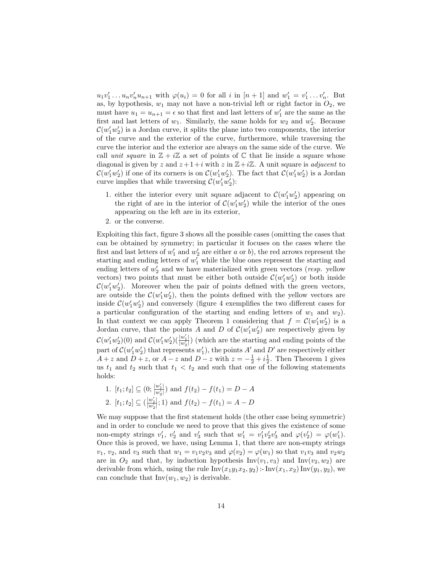$u_1v'_1 \ldots u_nv'_n u_{n+1}$  with  $\varphi(u_i) = 0$  for all i in  $[n+1]$  and  $w'_1 = v'_1 \ldots v'_n$ . But as, by hypothesis,  $w_1$  may not have a non-trivial left or right factor in  $O_2$ , we must have  $u_1 = u_{n+1} = \epsilon$  so that first and last letters of  $w'_1$  are the same as the first and last letters of  $w_1$ . Similarly, the same holds for  $w_2$  and  $w_2'$ . Because  $\mathcal{C}(w'_1w'_2)$  is a Jordan curve, it splits the plane into two components, the interior of the curve and the exterior of the curve, furthermore, while traversing the curve the interior and the exterior are always on the same side of the curve. We call unit square in  $\mathbb{Z} + i\mathbb{Z}$  a set of points of  $\mathbb C$  that lie inside a square whose diagonal is given by z and  $z + 1 + i$  with z in  $\mathbb{Z} + i\mathbb{Z}$ . A unit square is *adjacent* to  $\mathcal{C}(w'_1w'_2)$  if one of its corners is on  $\mathcal{C}(w'_1w'_2)$ . The fact that  $\mathcal{C}(w'_1w'_2)$  is a Jordan curve implies that while traversing  $\mathcal{C}(w'_1w'_2)$ :

- 1. either the interior every unit square adjacent to  $\mathcal{C}(w'_1w'_2)$  appearing on the right of are in the interior of  $\mathcal{C}(w'_1w'_2)$  while the interior of the ones appearing on the left are in its exterior,
- 2. or the converse.

Exploiting this fact, figure 3 shows all the possible cases (omitting the cases that can be obtained by symmetry; in particular it focuses on the cases where the first and last letters of  $w'_1$  and  $w'_2$  are either a or b), the red arrows represent the starting and ending letters of  $w'_1$  while the blue ones represent the starting and ending letters of  $w_2'$  and we have materialized with green vectors (*resp.* yellow vectors) two points that must be either both outside  $\mathcal{C}(w'_1w'_2)$  or both inside  $\mathcal{C}(w'_1w'_2)$ . Moreover when the pair of points defined with the green vectors, are outside the  $\mathcal{C}(w'_1w'_2)$ , then the points defined with the yellow vectors are inside  $\mathcal{C}(w'_1w'_2)$  and conversely (figure 4 exemplifies the two different cases for a particular configuration of the starting and ending letters of  $w_1$  and  $w_2$ ). In that context we can apply Theorem 1 considering that  $f = \mathcal{C}(w'_1 w'_2)$  is a Jordan curve, that the points A and D of  $\mathcal{C}(w'_1w'_2)$  are respectively given by  $\mathcal{C}(w'_1w'_2)(0)$  and  $\mathcal{C}(w'_1w'_2)(\frac{|w'_1|}{|w'_2|})$  (which are the starting and ending points of the part of  $\mathcal{C}(w'_1w'_2)$  that represents  $w'_1$ , the points A' and D' are respectively either  $A + z$  and  $D + z$ , or  $A - z$  and  $D - z$  with  $z = -\frac{1}{2} + i\frac{1}{2}$ . Then Theorem 1 gives us  $t_1$  and  $t_2$  such that  $t_1 < t_2$  and such that one of the following statements holds:

1. 
$$
[t_1; t_2] \subseteq (0; \frac{|w'_1|}{|w'_2|})
$$
 and  $f(t_2) - f(t_1) = D - A$   
2.  $[t_1; t_2] \subseteq (\frac{|w'_1|}{|w'_2|}; 1)$  and  $f(t_2) - f(t_1) = A - D$ 

We may suppose that the first statement holds (the other case being symmetric) and in order to conclude we need to prove that this gives the existence of some non-empty strings  $v'_1$ ,  $v'_2$  and  $v'_3$  such that  $w'_1 = v'_1v'_2v'_3$  and  $\varphi(v'_2) = \varphi(w'_1)$ . Once this is proved, we have, using Lemma 1, that there are non-empty strings  $v_1, v_2$ , and  $v_3$  such that  $w_1 = v_1v_2v_3$  and  $\varphi(v_2) = \varphi(w_1)$  so that  $v_1v_3$  and  $v_2w_2$ are in  $O_2$  and that, by induction hypothesis Inv( $v_1, v_3$ ) and Inv( $v_2, w_2$ ) are derivable from which, using the rule  $Inv(x_1y_1x_2, y_2)$ :-  $Inv(x_1, x_2) Inv(y_1, y_2)$ , we can conclude that  $Inv(w_1, w_2)$  is derivable.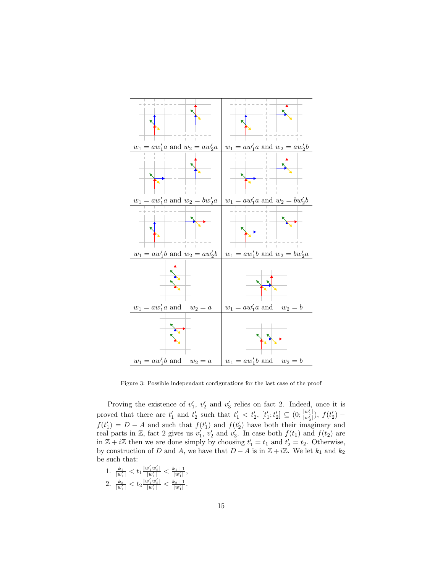

Figure 3: Possible independant configurations for the last case of the proof

Proving the existence of  $v'_1$ ,  $v'_2$  and  $v'_3$  relies on fact 2. Indeed, once it is proved that there are  $t'_1$  and  $t'_2$  such that  $t'_1 < t'_2$ ,  $[t'_1; t'_2] \subseteq (0; \frac{|w'_1|}{|w'_2|}), f(t'_2)$  $f(t'_1) = D - A$  and such that  $f(t'_1)$  and  $f(t'_2)$  have both their imaginary and real parts in Z, fact 2 gives us  $v'_1$ ,  $v'_2$  and  $v'_3$ . In case both  $f(t_1)$  and  $f(t_2)$  are in  $\mathbb{Z} + i\mathbb{Z}$  then we are done simply by choosing  $t'_1 = t_1$  and  $t'_2 = t_2$ . Otherwise, by construction of D and A, we have that  $D - A$  is in  $\mathbb{Z} + i\mathbb{Z}$ . We let  $k_1$  and  $k_2$ be such that:

1.  $\frac{k_1}{|w_1'|} < t_1 \frac{|w_1'w_2'|}{|w_1'|} < \frac{k_1+1}{|w_1'|},$ 2.  $\frac{k_2}{|w'_1|} < t_2 \frac{|w'_1 w'_2|}{|w'_1|} < \frac{k_2+1}{|w'_1|}$ .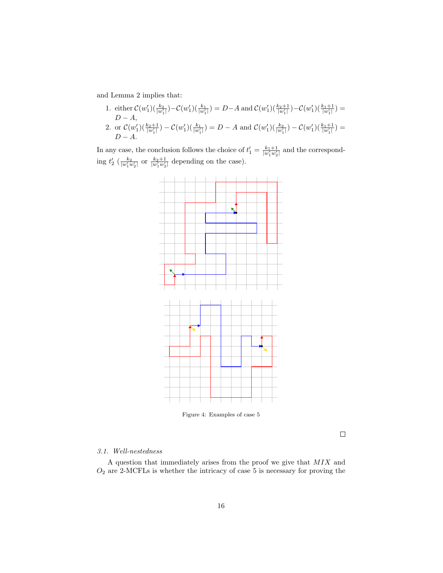and Lemma 2 implies that:

- 1. either  $C(w_1')\left(\frac{k_2}{|w_1'|}\right) C(w_1')\left(\frac{k_1}{|w_1'|}\right) = D A$  and  $C(w_1')\left(\frac{k_2+1}{|w_1'|}\right) C(w_1')\left(\frac{k_1+1}{|w_1'|}\right) =$  $D - A$ ,
- 2. or  $\mathcal{C}(w_1')(\frac{k_2+1}{|w_1'|}) \mathcal{C}(w_1')(\frac{k_1}{|w_1'|}) = D A$  and  $\mathcal{C}(w_1')(\frac{k_2}{|w_1'|}) \mathcal{C}(w_1')(\frac{k_1+1}{|w_1'|}) =$  $D - A$ .

In any case, the conclusion follows the choice of  $t'_1 = \frac{k_1+1}{|w'_1w'_2|}$  and the corresponding  $t_2'$  ( $\frac{k_2}{|w'_1w'_2|}$  or  $\frac{k_2+1}{|w'_1w'_2|}$  depending on the case).



Figure 4: Examples of case 5

 $\Box$ 

## 3.1. Well-nestedness

A question that immediately arises from the proof we give that MIX and  ${\mathcal O}_2$  are 2-MCFLs is whether the intricacy of case 5 is necessary for proving the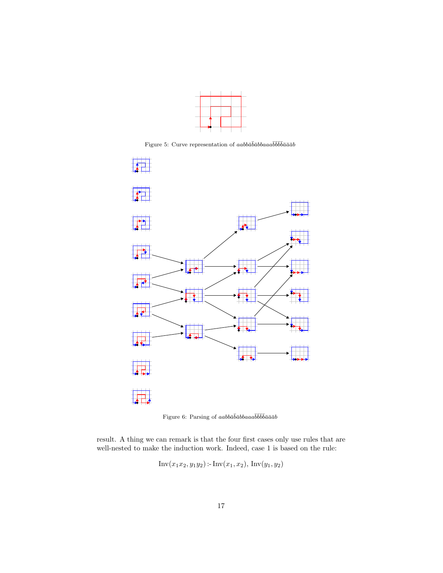

Figure 5: Curve representation of  $aab b \bar a \bar b \bar a \bar b b \bar b a \bar a \bar a \bar b b \bar b \bar a \bar a \bar a b$ 



Figure 6: Parsing of  $aab b\bar a\bar b\bar a\bar b$ abbaa $a\bar b\bar b\bar b\bar a\bar a\bar a b$ 

result. A thing we can remark is that the four first cases only use rules that are well-nested to make the induction work. Indeed, case 1 is based on the rule:

$$
Inv(x_1x_2, y_1y_2) - Inv(x_1, x_2), Inv(y_1, y_2)
$$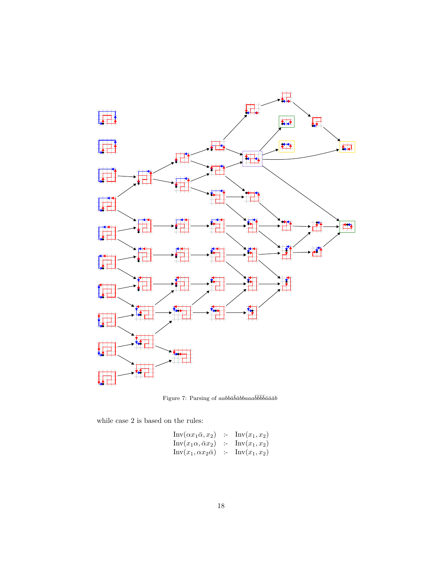

Figure 7: Parsing of  $aab b\bar a\bar b\bar a bbaaaab\bar b\bar b\bar b\bar a\bar a\bar a b$ 

while case 2 is based on the rules:

$$
\begin{array}{rcl}\n\text{Inv}(\alpha x_1 \bar{\alpha}, x_2) & \therefore & \text{Inv}(x_1, x_2) \\
\text{Inv}(x_1 \alpha, \bar{\alpha} x_2) & \therefore & \text{Inv}(x_1, x_2) \\
\text{Inv}(x_1, \alpha x_2 \bar{\alpha}) & \therefore & \text{Inv}(x_1, x_2)\n\end{array}
$$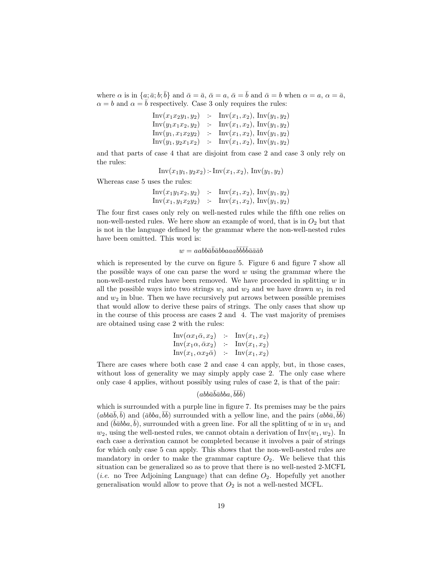where  $\alpha$  is in  $\{a; \bar{a}; b; \bar{b}\}$  and  $\bar{\alpha} = \bar{a}, \bar{\alpha} = a, \bar{\alpha} = \bar{b}$  and  $\bar{\alpha} = b$  when  $\alpha = a, \alpha = \bar{a}$ ,  $\alpha = b$  and  $\alpha = \overline{b}$  respectively. Case 3 only requires the rules:

Inv
$$
(x_1x_2y_1, y_2)
$$
 := Inv $(x_1, x_2)$ , Inv $(y_1, y_2)$   
Inv $(y_1x_1x_2, y_2)$  := Inv $(x_1, x_2)$ , Inv $(y_1, y_2)$   
Inv $(y_1, x_1x_2y_2)$  := Inv $(x_1, x_2)$ , Inv $(y_1, y_2)$   
Inv $(y_1, y_2x_1x_2)$  := Inv $(x_1, x_2)$ , Inv $(y_1, y_2)$ 

and that parts of case 4 that are disjoint from case 2 and case 3 only rely on the rules:

 $Inv(x_1y_1, y_2x_2)$ :-  $Inv(x_1, x_2)$ ,  $Inv(y_1, y_2)$ 

Whereas case 5 uses the rules:

$$
\begin{array}{rcl}\n\text{Inv}(x_1y_1x_2, y_2) & \therefore & \text{Inv}(x_1, x_2), \text{Inv}(y_1, y_2) \\
\text{Inv}(x_1, y_1x_2y_2) & \therefore & \text{Inv}(x_1, x_2), \text{Inv}(y_1, y_2)\n\end{array}
$$

The four first cases only rely on well-nested rules while the fifth one relies on non-well-nested rules. We here show an example of word, that is in  $O_2$  but that is not in the language defined by the grammar where the non-well-nested rules have been omitted. This word is:

## $w = aabb\bar{a}\bar{b}\bar{a}bba a a\bar{b}\bar{b}\bar{b}\bar{b}\bar{a}\bar{a}\bar{a}b$

which is represented by the curve on figure 5. Figure 6 and figure 7 show all the possible ways of one can parse the word  $w$  using the grammar where the non-well-nested rules have been removed. We have proceeded in splitting  $w$  in all the possible ways into two strings  $w_1$  and  $w_2$  and we have drawn  $w_1$  in red and  $w_2$  in blue. Then we have recursively put arrows between possible premises that would allow to derive these pairs of strings. The only cases that show up in the course of this process are cases 2 and 4. The vast majority of premises are obtained using case 2 with the rules:

$$
\begin{array}{rcl}\n\text{Inv}(\alpha x_1 \bar{\alpha}, x_2) & \text{:-} & \text{Inv}(x_1, x_2) \\
\text{Inv}(x_1 \alpha, \bar{\alpha} x_2) & \text{:-} & \text{Inv}(x_1, x_2) \\
\text{Inv}(x_1, \alpha x_2 \bar{\alpha}) & \text{:-} & \text{Inv}(x_1, x_2)\n\end{array}
$$

There are cases where both case 2 and case 4 can apply, but, in those cases, without loss of generality we may simply apply case 2. The only case where only case 4 applies, without possibly using rules of case 2, is that of the pair:

## $(abb\bar{a}\bar{b}\bar{a}bba,\bar{b}\bar{b}\bar{b})$

which is surrounded with a purple line in figure 7. Its premises may be the pairs  $(abb\bar{a}\bar{b}, \bar{b})$  and  $(\bar{a}bba, \bar{b}\bar{b})$  surrounded with a yellow line, and the pairs  $(abb\bar{a}, \bar{b}\bar{b})$ and  $(\bar{b}\bar{a}bba, \bar{b})$ , surrounded with a green line. For all the splitting of w in  $w_1$  and  $w_2$ , using the well-nested rules, we cannot obtain a derivation of  $Inv(w_1, w_2)$ . In each case a derivation cannot be completed because it involves a pair of strings for which only case 5 can apply. This shows that the non-well-nested rules are mandatory in order to make the grammar capture  $O_2$ . We believe that this situation can be generalized so as to prove that there is no well-nested 2-MCFL (*i.e.* no Tree Adjoining Language) that can define  $O_2$ . Hopefully yet another generalisation would allow to prove that  $O_2$  is not a well-nested MCFL.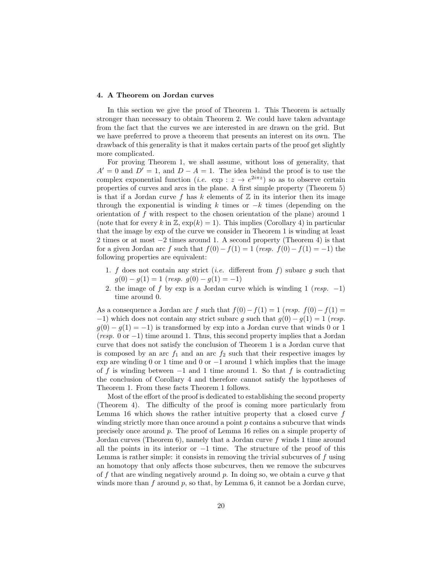### 4. A Theorem on Jordan curves

In this section we give the proof of Theorem 1. This Theorem is actually stronger than necessary to obtain Theorem 2. We could have taken advantage from the fact that the curves we are interested in are drawn on the grid. But we have preferred to prove a theorem that presents an interest on its own. The drawback of this generality is that it makes certain parts of the proof get slightly more complicated.

For proving Theorem 1, we shall assume, without loss of generality, that  $A' = 0$  and  $D' = 1$ , and  $D - A = 1$ . The idea behind the proof is to use the complex exponential function (*i.e.* exp :  $z \to e^{2i\pi z}$ ) so as to observe certain properties of curves and arcs in the plane. A first simple property (Theorem 5) is that if a Jordan curve f has k elements of  $\mathbb Z$  in its interior then its image through the exponential is winding k times or  $-k$  times (depending on the orientation of f with respect to the chosen orientation of the plane) around 1 (note that for every k in Z,  $\exp(k) = 1$ ). This implies (Corollary 4) in particular that the image by exp of the curve we consider in Theorem 1 is winding at least 2 times or at most −2 times around 1. A second property (Theorem 4) is that for a given Jordan arc f such that  $f(0) - f(1) = 1$  (resp.  $f(0) - f(1) = -1$ ) the following properties are equivalent:

- 1. f does not contain any strict *(i.e.* different from f) subarc  $q$  such that  $g(0) - g(1) = 1$  (resp.  $g(0) - g(1) = -1$ )
- 2. the image of f by exp is a Jordan curve which is winding 1 (resp.  $-1$ ) time around 0.

As a consequence a Jordan arc f such that  $f(0) - f(1) = 1$  (resp.  $f(0) - f(1) =$  $-1$ ) which does not contain any strict subarc g such that  $g(0) - g(1) = 1$  (resp.  $g(0) - g(1) = -1$ ) is transformed by exp into a Jordan curve that winds 0 or 1  $(resp. 0 \text{ or } -1)$  time around 1. Thus, this second property implies that a Jordan curve that does not satisfy the conclusion of Theorem 1 is a Jordan curve that is composed by an arc  $f_1$  and an arc  $f_2$  such that their respective images by exp are winding 0 or 1 time and 0 or −1 around 1 which implies that the image of f is winding between  $-1$  and 1 time around 1. So that f is contradicting the conclusion of Corollary 4 and therefore cannot satisfy the hypotheses of Theorem 1. From these facts Theorem 1 follows.

Most of the effort of the proof is dedicated to establishing the second property (Theorem 4). The difficulty of the proof is coming more particularly from Lemma 16 which shows the rather intuitive property that a closed curve  $f$ winding strictly more than once around a point  $p$  contains a subcurve that winds precisely once around p. The proof of Lemma 16 relies on a simple property of Jordan curves (Theorem 6), namely that a Jordan curve  $f$  winds 1 time around all the points in its interior or  $-1$  time. The structure of the proof of this Lemma is rather simple: it consists in removing the trivial subcurves of  $f$  using an homotopy that only affects those subcurves, then we remove the subcurves of f that are winding negatively around p. In doing so, we obtain a curve g that winds more than f around p, so that, by Lemma 6, it cannot be a Jordan curve,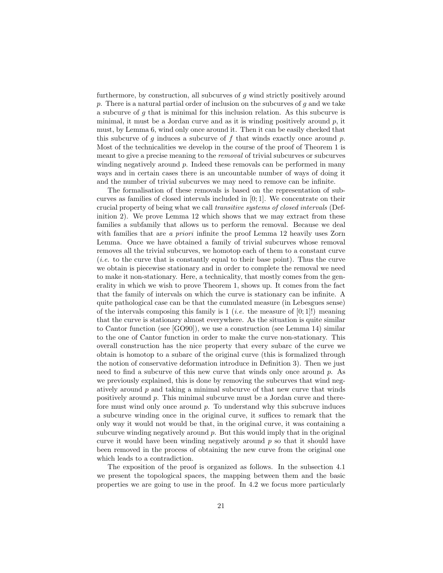furthermore, by construction, all subcurves of  $g$  wind strictly positively around  $p$ . There is a natural partial order of inclusion on the subcurves of  $g$  and we take a subcurve of g that is minimal for this inclusion relation. As this subcurve is minimal, it must be a Jordan curve and as it is winding positively around  $p$ , it must, by Lemma 6, wind only once around it. Then it can be easily checked that this subcurve of  $g$  induces a subcurve of  $f$  that winds exactly once around  $p$ . Most of the technicalities we develop in the course of the proof of Theorem 1 is meant to give a precise meaning to the removal of trivial subcurves or subcurves winding negatively around  $p$ . Indeed these removals can be performed in many ways and in certain cases there is an uncountable number of ways of doing it and the number of trivial subcurves we may need to remove can be infinite.

The formalisation of these removals is based on the representation of subcurves as families of closed intervals included in [0; 1]. We concentrate on their crucial property of being what we call transitive systems of closed intervals (Definition 2). We prove Lemma 12 which shows that we may extract from these families a subfamily that allows us to perform the removal. Because we deal with families that are *a priori* infinite the proof Lemma 12 heavily uses Zorn Lemma. Once we have obtained a family of trivial subcurves whose removal removes all the trivial subcurves, we homotop each of them to a constant curve (i.e. to the curve that is constantly equal to their base point). Thus the curve we obtain is piecewise stationary and in order to complete the removal we need to make it non-stationary. Here, a technicality, that mostly comes from the generality in which we wish to prove Theorem 1, shows up. It comes from the fact that the family of intervals on which the curve is stationary can be infinite. A quite pathological case can be that the cumulated measure (in Lebesgues sense) of the intervals composing this family is 1 (*i.e.* the measure of  $[0, 1]$ !) meaning that the curve is stationary almost everywhere. As the situation is quite similar to Cantor function (see [GO90]), we use a construction (see Lemma 14) similar to the one of Cantor function in order to make the curve non-stationary. This overall construction has the nice property that every subarc of the curve we obtain is homotop to a subarc of the original curve (this is formalized through the notion of conservative deformation introduce in Definition 3). Then we just need to find a subcurve of this new curve that winds only once around  $p$ . As we previously explained, this is done by removing the subcurves that wind negatively around  $p$  and taking a minimal subcurve of that new curve that winds positively around p. This minimal subcurve must be a Jordan curve and therefore must wind only once around  $p$ . To understand why this subcruve induces a subcurve winding once in the original curve, it suffices to remark that the only way it would not would be that, in the original curve, it was containing a subcurve winding negatively around  $p$ . But this would imply that in the original curve it would have been winding negatively around  $p$  so that it should have been removed in the process of obtaining the new curve from the original one which leads to a contradiction.

The exposition of the proof is organized as follows. In the subsection 4.1 we present the topological spaces, the mapping between them and the basic properties we are going to use in the proof. In 4.2 we focus more particularly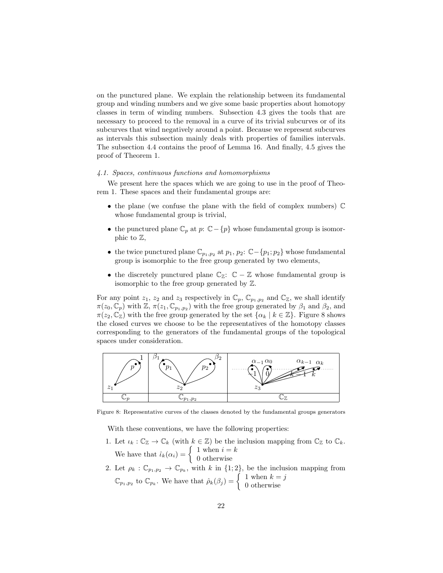on the punctured plane. We explain the relationship between its fundamental group and winding numbers and we give some basic properties about homotopy classes in term of winding numbers. Subsection 4.3 gives the tools that are necessary to proceed to the removal in a curve of its trivial subcurves or of its subcurves that wind negatively around a point. Because we represent subcurves as intervals this subsection mainly deals with properties of families intervals. The subsection 4.4 contains the proof of Lemma 16. And finally, 4.5 gives the proof of Theorem 1.

#### 4.1. Spaces, continuous functions and homomorphisms

We present here the spaces which we are going to use in the proof of Theorem 1. These spaces and their fundamental groups are:

- the plane (we confuse the plane with the field of complex numbers) C whose fundamental group is trivial,
- the punctured plane  $\mathbb{C}_p$  at  $p: \mathbb{C}-\{p\}$  whose fundamental group is isomorphic to Z,
- the twice punctured plane  $\mathbb{C}_{p_1,p_2}$  at  $p_1, p_2: \mathbb{C}-\{p_1, p_2\}$  whose fundamental group is isomorphic to the free group generated by two elements,
- the discretely punctured plane  $\mathbb{C}_{\mathbb{Z}}$ :  $\mathbb{C} \mathbb{Z}$  whose fundamental group is isomorphic to the free group generated by Z.

For any point  $z_1$ ,  $z_2$  and  $z_3$  respectively in  $\mathbb{C}_p$ ,  $\mathbb{C}_{p_1,p_2}$  and  $\mathbb{C}_{\mathbb{Z}}$ , we shall identify  $\pi(z_0, \mathbb{C}_p)$  with  $\mathbb{Z}, \pi(z_1, \mathbb{C}_{p_1,p_2})$  with the free group generated by  $\beta_1$  and  $\beta_2$ , and  $\pi(z_2, \mathbb{C}_\mathbb{Z})$  with the free group generated by the set  $\{\alpha_k \mid k \in \mathbb{Z}\}\.$  Figure 8 shows the closed curves we choose to be the representatives of the homotopy classes corresponding to the generators of the fundamental groups of the topological spaces under consideration.



Figure 8: Representative curves of the classes denoted by the fundamental groups generators

With these conventions, we have the following properties:

- 1. Let  $\iota_k : \mathbb{C}_{\mathbb{Z}} \to \mathbb{C}_k$  (with  $k \in \mathbb{Z}$ ) be the inclusion mapping from  $\mathbb{C}_{\mathbb{Z}}$  to  $\mathbb{C}_k$ . We have that  $\hat{\iota}_k(\alpha_i) = \begin{cases} 1 \text{ when } i = k \\ 0 \text{ otherwise} \end{cases}$ 0 otherwise
- 2. Let  $\rho_k : \mathbb{C}_{p_1, p_2} \to \mathbb{C}_{p_k}$ , with k in  $\{1, 2\}$ , be the inclusion mapping from  $\mathbb{C}_{p_1,p_2}$  to  $\mathbb{C}_{p_k}$ . We have that  $\hat{\rho}_k(\beta_j) = \begin{cases} 1 \text{ when } k = j \\ 0 \text{ otherwise} \end{cases}$ 0 otherwise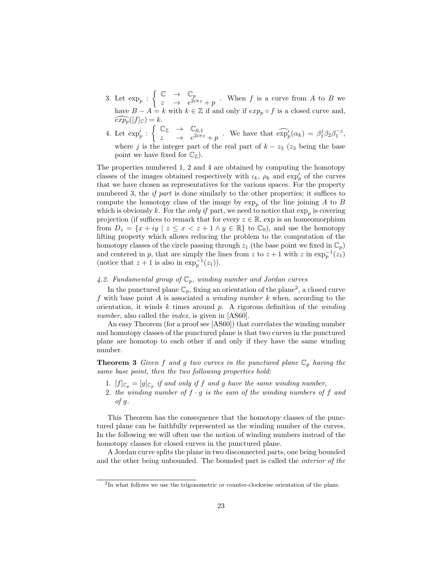- 3. Let  $\exp_p : \left\{ \begin{array}{ccc} \mathbb{C} & \rightarrow & \mathbb{C}_p \\ \sim & \rightarrow & e^{2i} \end{array} \right.$  $\begin{array}{c} \sim \\ z \end{array} \rightarrow \begin{array}{c} \mathbb{C}^{p} \\ e^{2i\pi z} + p \end{array}$ . When f is a curve from A to B we have  $B - A = k$  with  $k \in \mathbb{Z}$  if and only if  $exp_p \circ f$  is a closed curve and,  $\widehat{exp_p}([f]_{\mathbb{C}}) = k.$
- 4. Let  $\exp'_p : \left\{ \begin{array}{ccc} \mathbb{C}_\mathbb{Z} & \to & \mathbb{C}_{0,1} \\ \downarrow & \to & e^{2i\pi \cdot \mathbb{Z}} \end{array} \right.$  $\mathbb{Z} \longrightarrow \mathbb{C}^{0,1}_{2i\pi z}$  We have that  $\widehat{\exp}_{p}'(\alpha_k) = \beta_1^j \beta_2 \beta_1^{-j}$ , where j is the integer part of the real part of  $k - z_3$  ( $z_3$  being the base point we have fixed for  $\mathbb{C}_{\mathbb{Z}}$ ).

The properties numbered 1, 2 and 4 are obtained by computing the homotopy classes of the images obtained respectively with  $\iota_k$ ,  $\rho_k$  and  $\exp'_p$  of the curves that we have chosen as representatives for the various spaces. For the property numbered 3, the *if part* is done similarly to the other properties; it suffices to compute the homotopy class of the image by  $\exp_p$  of the line joining A to B which is obviously k. For the *only if* part, we need to notice that  $\exp_p$  is covering projection (if suffices to remark that for every  $z \in \mathbb{R}$ , exp is an homeomorphism from  $D_z = \{x + iy \mid z \leq x < z + 1 \land y \in \mathbb{R}\}\$  to  $\mathbb{C}_0$ , and use the homotopy lifting property which allows reducing the problem to the computation of the homotopy classes of the circle passing through  $z_1$  (the base point we fixed in  $\mathbb{C}_p$ ) and centered in p, that are simply the lines from z to  $z + 1$  with z in  $\exp_p^{-1}(z_1)$ (notice that  $z + 1$  is also in  $\exp_p^{-1}(z_1)$ ).

## 4.2. Fundamental group of  $\mathbb{C}_p$ , winding number and Jordan curves

In the punctured plane  $\mathbb{C}_p$ , fixing an orientation of the plane<sup>2</sup>, a closed curve f with base point  $A$  is associated a *winding number*  $k$  when, according to the orientation, it winds k times around p. A rigorous definition of the *winding* number, also called the *index*, is given in [AS60].

An easy Theorem (for a proof see [AS60]) that correlates the winding number and homotopy classes of the punctured plane is that two curves in the punctured plane are homotop to each other if and only if they have the same winding number.

**Theorem 3** Given f and g two curves in the punctured plane  $\mathbb{C}_p$  having the same base point, then the two following properties hold:

- 1.  $[f]_{\mathbb{C}_p} = [g]_{\mathbb{C}_p}$  if and only if f and g have the same winding number,
- 2. the winding number of  $f \cdot g$  is the sum of the winding numbers of f and of g.

This Theorem has the consequence that the homotopy classes of the punctured plane can be faithfully represented as the winding number of the curves. In the following we will often use the notion of winding numbers instead of the homotopy classes for closed curves in the punctured plane.

A Jordan curve splits the plane in two disconnected parts, one being bounded and the other being unbounded. The bounded part is called the interior of the

<sup>&</sup>lt;sup>2</sup>In what follows we use the trigonometric or counter-clockwise orientation of the plane.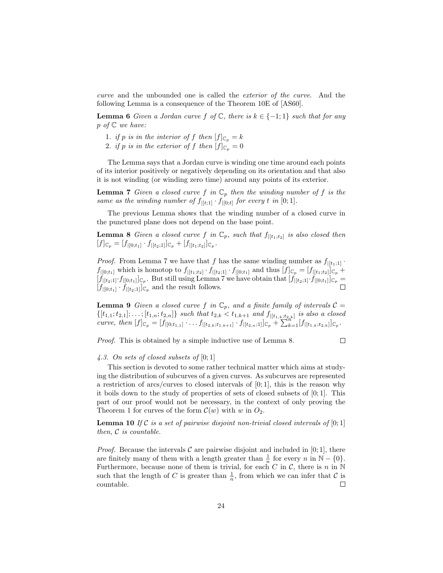curve and the unbounded one is called the exterior of the curve. And the following Lemma is a consequence of the Theorem 10E of [AS60].

**Lemma 6** Given a Jordan curve f of  $\mathbb{C}$ , there is  $k \in \{-1,1\}$  such that for any  $p \text{ of } \mathbb{C}$  we have:

- 1. if p is in the interior of f then  $[f]_{\mathbb{C}_p} = k$
- 2. if p is in the exterior of f then  $[f]_{\mathbb{C}_p} = 0$

The Lemma says that a Jordan curve is winding one time around each points of its interior positively or negatively depending on its orientation and that also it is not winding (or winding zero time) around any points of its exterior.

**Lemma 7** Given a closed curve f in  $\mathbb{C}_p$  then the winding number of f is the same as the winding number of  $f_{|[t;1]} \cdot f_{|[0;t]}$  for every t in [0; 1].

The previous Lemma shows that the winding number of a closed curve in the punctured plane does not depend on the base point.

**Lemma 8** Given a closed curve f in  $\mathbb{C}_p$ , such that  $f_{|[t_1;t_2]}$  is also closed then  $[f]_{\mathbb{C}_p} = [f_{|[0;t_1]} \cdot f_{|[t_2;1]}]_{\mathbb{C}_p} + [f_{|[t_1;t_2]}]_{\mathbb{C}_p}.$ 

*Proof.* From Lemma 7 we have that f has the same winding number as  $f_{|[t_1;1]}$ .  $f_{|[0;t_1]}$  which is homotop to  $f_{|[t_1;t_2]} \cdot f_{|[t_2;1]} \cdot f_{|[0;t_1]}$  and thus  $[f]_{\mathbb{C}_p} = [f_{|[t_1;t_2]}]_{\mathbb{C}_p}$  +  $[f_{|[t_2;1]} \cdot f_{|[0;t_1]}]_{\mathbb{C}_p}$ . But still using Lemma 7 we have obtain that  $[f_{|[t_2;1]}\cdot f_{|[0;t_1]}]_{\mathbb{C}_p}$  $[f_{|[0;t_1]} \cdot f_{|[t_2;1]}]_{\mathbb{C}_p}$  and the result follows.

**Lemma 9** Given a closed curve f in  $\mathbb{C}_p$ , and a finite family of intervals  $\mathcal{C} =$  $\{[t_{1,1}; t_{2,1}]; \ldots; [t_{1,n}; t_{2,n}]\}\$  such that  $t_{2,k} < t_{1,k+1}$  and  $f_{|[t_{1,k};t_{2,k}]}\$  is also a closed curve, then  $[f]_{\mathbb{C}_p} = [f_{|[0;t_{1,1}]} \cdot \ldots \cdot f_{|[t_{2,k};t_{1,k+1}]} \cdot \overline{f_{|[t_{2,n};1]}]_{\mathbb{C}_p}} + \sum_{k=1}^{n} [f_{|[t_{1,k};t_{2,k}]}]_{\mathbb{C}_p}.$ 

Proof. This is obtained by a simple inductive use of Lemma 8.

$$
\Box
$$

4.3. On sets of closed subsets of  $[0;1]$ 

This section is devoted to some rather technical matter which aims at studying the distribution of subcurves of a given curves. As subcurves are represented a restriction of arcs/curves to closed intervals of  $[0, 1]$ , this is the reason why it boils down to the study of properties of sets of closed subsets of [0; 1]. This part of our proof would not be necessary, in the context of only proving the Theorem 1 for curves of the form  $\mathcal{C}(w)$  with w in  $O_2$ .

**Lemma 10** If C is a set of pairwise disjoint non-trivial closed intervals of  $[0;1]$ then, C is countable.

*Proof.* Because the intervals  $\mathcal C$  are pairwise disjoint and included in [0; 1], there are finitely many of them with a length greater than  $\frac{1}{n}$  for every n in  $\mathbb{N} - \{0\}$ . Furthermore, because none of them is trivial, for each  $C$  in  $C$ , there is  $n$  in  $N$ such that the length of C is greater than  $\frac{1}{n}$ , from which we can infer that C is countable.  $\Box$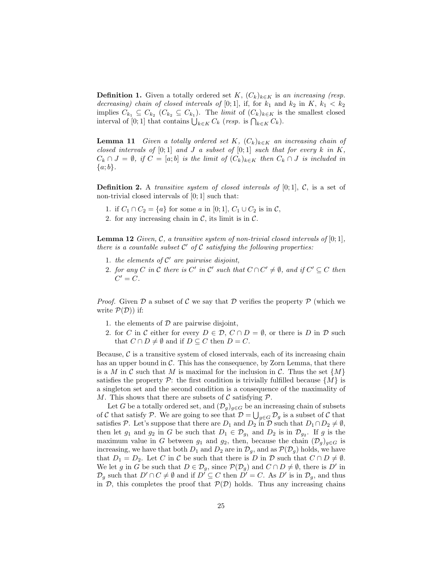**Definition 1.** Given a totally ordered set K,  $(C_k)_{k \in K}$  is an increasing (resp. decreasing) chain of closed intervals of [0;1], if, for  $k_1$  and  $k_2$  in  $K$ ,  $k_1 < k_2$ implies  $C_{k_1} \subseteq C_{k_2}$   $(C_{k_2} \subseteq C_{k_1})$ . The *limit* of  $(C_k)_{k \in K}$  is the smallest closed interval of [0; 1] that contains  $\bigcup_{k \in K} C_k$  (resp. is  $\bigcap_{k \in K} C_k$ ).

**Lemma 11** Given a totally ordered set K,  $(C_k)_{k\in K}$  an increasing chain of closed intervals of  $[0;1]$  and  $J$  a subset of  $[0;1]$  such that for every  $k$  in  $K$ ,  $C_k \cap J = \emptyset$ , if  $C = [a; b]$  is the limit of  $(C_k)_{k \in K}$  then  $C_k \cap J$  is included in  $\{a;b\}.$ 

**Definition 2.** A *transitive system of closed intervals of* [0;1],  $C$ , is a set of non-trivial closed intervals of [0; 1] such that:

- 1. if  $C_1 \cap C_2 = \{a\}$  for some a in [0; 1],  $C_1 \cup C_2$  is in  $\mathcal{C}$ ,
- 2. for any increasing chain in  $C$ , its limit is in  $C$ .

**Lemma 12** Given, C, a transitive system of non-trivial closed intervals of  $[0; 1]$ , there is a countable subset  $C'$  of  $C$  satisfying the following properties:

- 1. the elements of  $C'$  are pairwise disjoint,
- 2. for any C in C there is C' in C' such that  $C \cap C' \neq \emptyset$ , and if  $C' \subseteq C$  then  $C' = C$ .

*Proof.* Given  $\mathcal D$  a subset of C we say that  $\mathcal D$  verifies the property  $\mathcal P$  (which we write  $P(D)$  if:

- 1. the elements of  $D$  are pairwise disjoint,
- 2. for C in C either for every  $D \in \mathcal{D}$ ,  $C \cap D = \emptyset$ , or there is D in D such that  $C \cap D \neq \emptyset$  and if  $D \subseteq C$  then  $D = C$ .

Because,  $\mathcal C$  is a transitive system of closed intervals, each of its increasing chain has an upper bound in  $\mathcal{C}$ . This has the consequence, by Zorn Lemma, that there is a M in C such that M is maximal for the inclusion in C. Thus the set  $\{M\}$ satisfies the property  $\mathcal{P}$ : the first condition is trivially fulfilled because  $\{M\}$  is a singleton set and the second condition is a consequence of the maximality of M. This shows that there are subsets of  $\mathcal C$  satisfying  $\mathcal P$ .

Let G be a totally ordered set, and  $(\mathcal{D}_g)_{g \in G}$  be an increasing chain of subsets of C that satisfy P. We are going to see that  $\mathcal{D} = \bigcup_{g \in G} \mathcal{D}_g$  is a subset of C that satisfies P. Let's suppose that there are  $D_1$  and  $D_2$  in  $D$  such that  $D_1 \cap D_2 \neq \emptyset$ , then let  $g_1$  and  $g_2$  in G be such that  $D_1 \in \mathcal{D}_{g_1}$  and  $D_2$  is in  $\mathcal{D}_{g_2}$ . If g is the maximum value in G between  $g_1$  and  $g_2$ , then, because the chain  $(\mathcal{D}_g)_{g \in G}$  is increasing, we have that both  $D_1$  and  $D_2$  are in  $\mathcal{D}_g$ , and as  $\mathcal{P}(\mathcal{D}_g)$  holds, we have that  $D_1 = D_2$ . Let C in C be such that there is D in D such that  $C \cap D \neq \emptyset$ . We let g in G be such that  $D \in \mathcal{D}_g$ , since  $\mathcal{P}(\mathcal{D}_g)$  and  $C \cap D \neq \emptyset$ , there is D' in  $\mathcal{D}_g$  such that  $D' \cap C \neq \emptyset$  and if  $D' \subseteq C$  then  $D' = C$ . As  $D'$  is in  $\mathcal{D}_g$ , and thus in  $\mathcal{D}$ , this completes the proof that  $\mathcal{P}(\mathcal{D})$  holds. Thus any increasing chains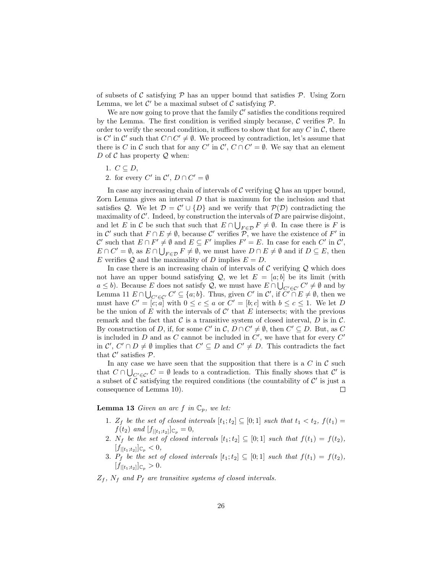of subsets of  $\mathcal C$  satisfying  $\mathcal P$  has an upper bound that satisfies  $\mathcal P$ . Using Zorn Lemma, we let  $\mathcal{C}'$  be a maximal subset of  $\mathcal C$  satisfying  $\mathcal P$ .

We are now going to prove that the family  $\mathcal{C}'$  satisfies the conditions required by the Lemma. The first condition is verified simply because,  $\mathcal C$  verifies  $\mathcal P$ . In order to verify the second condition, it suffices to show that for any  $C$  in  $\mathcal{C}$ , there is C' in C' such that  $C \cap C' \neq \emptyset$ . We proceed by contradiction, let's assume that there is C in C such that for any C' in  $\mathcal{C}', C \cap C' = \emptyset$ . We say that an element D of C has property  $Q$  when:

- 1.  $C \subseteq D$ ,
- 2. for every  $C'$  in  $C', D \cap C' = \emptyset$

In case any increasing chain of intervals of  $\mathcal C$  verifying  $\mathcal Q$  has an upper bound, Zorn Lemma gives an interval  $D$  that is maximum for the inclusion and that satisfies Q. We let  $\mathcal{D} = \mathcal{C}' \cup \{D\}$  and we verify that  $\mathcal{P}(\mathcal{D})$  contradicting the maximality of  $\mathcal{C}'$ . Indeed, by construction the intervals of  $\mathcal D$  are pairwise disjoint, and let E in C be such that such that  $E \cap \bigcup_{F \in \mathcal{D}} F \neq \emptyset$ . In case there is F is in C' such that  $F \cap E \neq \emptyset$ , because C' verifies  $\overline{P}$ , we have the existence of F' in C' such that  $E \cap F' \neq \emptyset$  and  $E \subseteq F'$  implies  $F' = E$ . In case for each C' in C',  $E \cap C' = \emptyset$ , as  $E \cap \bigcup_{F \in \mathcal{D}} F \neq \emptyset$ , we must have  $D \cap E \neq \emptyset$  and if  $D \subseteq E$ , then E verifies Q and the maximality of D implies  $E = D$ .

In case there is an increasing chain of intervals of  $\mathcal C$  verifying  $\mathcal Q$  which does not have an upper bound satisfying  $\mathcal{Q}$ , we let  $E = [a, b]$  be its limit (with  $a \leq b$ ). Because E does not satisfy Q, we must have  $E \cap \bigcup_{C' \in \mathcal{C}'} C' \neq \emptyset$  and by Lemma 11  $E \cap \bigcup_{C' \in \mathcal{C}'} C' \subseteq \{a; b\}$ . Thus, given C' in C', if  $C' \cap E \neq \emptyset$ , then we must have  $C' = [c, a]$  with  $0 \le c \le a$  or  $C' = [b, c]$  with  $b \le c \le 1$ . We let D be the union of  $E$  with the intervals of  $\mathcal{C}'$  that  $E$  intersects; with the previous remark and the fact that  $\mathcal C$  is a transitive system of closed interval,  $D$  is in  $\mathcal C$ . By construction of D, if, for some C' in C,  $D \cap C' \neq \emptyset$ , then  $C' \subseteq D$ . But, as C is included in  $D$  and as  $C$  cannot be included in  $C'$ , we have that for every  $C'$ in  $\mathcal{C}', C' \cap D \neq \emptyset$  implies that  $C' \subseteq D$  and  $C' \neq D$ . This contradicts the fact that  $\mathcal{C}'$  satisfies  $\mathcal{P}$ .

In any case we have seen that the supposition that there is a  $C$  in  $C$  such that  $C \cap \bigcup_{C' \in \mathcal{C}'} C = \emptyset$  leads to a contradiction. This finally shows that  $\mathcal{C}'$  is a subset of  $\tilde{\mathcal{C}}$  satisfying the required conditions (the countability of  $\mathcal{C}'$  is just a consequence of Lemma 10).  $\Box$ 

## **Lemma 13** Given an arc f in  $\mathbb{C}_p$ , we let:

- 1.  $Z_f$  be the set of closed intervals  $[t_1;t_2] \subseteq [0;1]$  such that  $t_1 < t_2$ ,  $f(t_1) =$  $f(t_2)$  and  $[f_{|[t_1;t_2]}]_{\mathbb{C}_p} = 0,$
- 2. N<sub>f</sub> be the set of closed intervals  $[t_1;t_2] \subseteq [0;1]$  such that  $f(t_1) = f(t_2)$ ,  $[f_{|[t_1;t_2]}]_{\mathbb{C}_p} < 0,$
- 3.  $P_f$  be the set of closed intervals  $[t_1;t_2] \subseteq [0;1]$  such that  $f(t_1) = f(t_2)$ ,  $[f_{|[t_1;t_2]}]_{\mathbb{C}_p} > 0.$
- $Z_f$ ,  $N_f$  and  $P_f$  are transitive systems of closed intervals.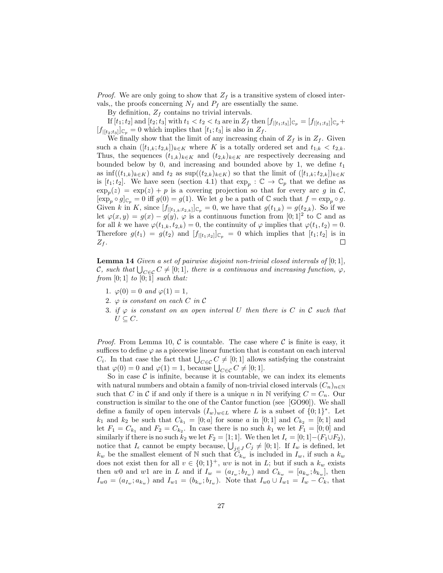*Proof.* We are only going to show that  $Z_f$  is a transitive system of closed intervals,, the proofs concerning  $N_f$  and  $P_f$  are essentially the same.

By definition,  $Z_f$  contains no trivial intervals.

If  $[t_1;t_2]$  and  $[t_2;t_3]$  with  $t_1 < t_2 < t_3$  are in  $Z_f$  then  $[f_{|[t_1;t_3]}]_{\mathbb{C}_p} = [f_{|[t_1;t_2]}]_{\mathbb{C}_p} +$  $[f_{|[t_2;t_3]}]_{\mathbb{C}_p} = 0$  which implies that  $[t_1;t_3]$  is also in  $Z_f$ .

We finally show that the limit of any increasing chain of  $Z_f$  is in  $Z_f$ . Given such a chain  $([t_{1,k};t_{2,k}])_{k\in K}$  where K is a totally ordered set and  $t_{1,k} < t_{2,k}$ . Thus, the sequences  $(t_{1,k})_{k\in K}$  and  $(t_{2,k})_{k\in K}$  are respectively decreasing and bounded below by 0, and increasing and bounded above by 1, we define  $t_1$ as  $\inf((t_{1,k})_{k\in K})$  and  $t_2$  as  $\sup((t_{2,k})_{k\in K})$  so that the limit of  $([t_{1,k};t_{2,k}])_{k\in K}$ is  $[t_1;t_2]$ . We have seen (section 4.1) that  $\exp_p : \mathbb{C} \to \mathbb{C}_p$  that we define as  $\exp_p(z) = \exp(z) + p$  is a covering projection so that for every arc g in C,  $[\exp_p \circ g]_{\mathbb{C}_p} = 0$  iff  $g(0) = g(1)$ . We let g be a path of  $\mathbb{C}$  such that  $f = \exp_p \circ g$ . Given k in K, since  $[f_{|[t_1,k;t_2,k]}]_{\mathbb{C}_p} = 0$ , we have that  $g(t_{1,k}) = g(t_{2,k})$ . So if we let  $\varphi(x,y) = g(x) - g(y), \varphi$  is a continuous function from [0; 1]<sup>2</sup> to  $\mathbb C$  and as for all k we have  $\varphi(t_{1,k}, t_{2,k}) = 0$ , the continuity of  $\varphi$  implies that  $\varphi(t_1, t_2) = 0$ . Therefore  $g(t_1) = g(t_2)$  and  $[f_{|[t_1;t_2]}]_{\mathbb{C}_p} = 0$  which implies that  $[t_1;t_2]$  is in  $\Box$  $Z_f$ .

**Lemma 14** Given a set of pairwise disjoint non-trivial closed intervals of  $[0, 1]$ , C, such that  $\bigcup_{C \in \mathcal{C}} C \neq [0; 1]$ , there is a continuous and increasing function,  $\varphi$ , from  $[0;1]$  to  $[0;\overline{1}]$  such that:

- 1.  $\varphi(0) = 0$  and  $\varphi(1) = 1$ ,
- 2.  $\varphi$  is constant on each C in C
- 3. if  $\varphi$  is constant on an open interval U then there is C in C such that  $U \subseteq C$ .

*Proof.* From Lemma 10, C is countable. The case where C is finite is easy, it suffices to define  $\varphi$  as a piecewise linear function that is constant on each interval  $C_i$ . In that case the fact that  $\bigcup_{C \in \mathcal{C}} C \neq [0; 1]$  allows satisfying the constraint that  $\varphi(0) = 0$  and  $\varphi(1) = 1$ , because  $\bigcup_{C \in \mathcal{C}} C \neq [0; 1]$ .

So in case  $\mathcal C$  is infinite, because it is countable, we can index its elements with natural numbers and obtain a family of non-trivial closed intervals  $(C_n)_{n\in\mathbb{N}}$ such that C in C if and only if there is a unique n in N verifying  $C = C_n$ . Our construction is similar to the one of the Cantor function (see [GO90]). We shall define a family of open intervals  $(I_w)_{w \in L}$  where L is a subset of  $\{0, 1\}^*$ . Let  $k_1$  and  $k_2$  be such that  $C_{k_1} = [0; a]$  for some a in  $[0; 1]$  and  $C_{k_2} = [b; 1]$  and let  $F_1 = C_{k_1}$  and  $F_2 = C_{k_2}$ . In case there is no such  $k_1$  we let  $F_1 = [0,0]$  and similarly if there is no such  $k_2$  we let  $F_2 = [1; 1]$ . We then let  $I_{\epsilon} = [0; 1] - (F_1 \cup F_2)$ , notice that  $I_{\epsilon}$  cannot be empty because,  $\bigcup_{j\in J} C_j \neq [0; 1]$ . If  $I_w$  is defined, let  $k_w$  be the smallest element of N such that  $C_{k_w}$  is included in  $I_w$ , if such a  $k_w$ does not exist then for all  $v \in \{0,1\}^+$ , wv is not in L; but if such a  $k_w$  exists then w0 and w1 are in L and if  $I_w = (a_{I_w}; b_{I_w})$  and  $C_{k_w} = [a_{k_w}; b_{k_w}]$ , then  $I_{w0} = (a_{I_w}; a_{k_w})$  and  $I_{w1} = (b_{k_w}; b_{I_w})$ . Note that  $I_{w0} \cup I_{w1} = I_w - C_k$ , that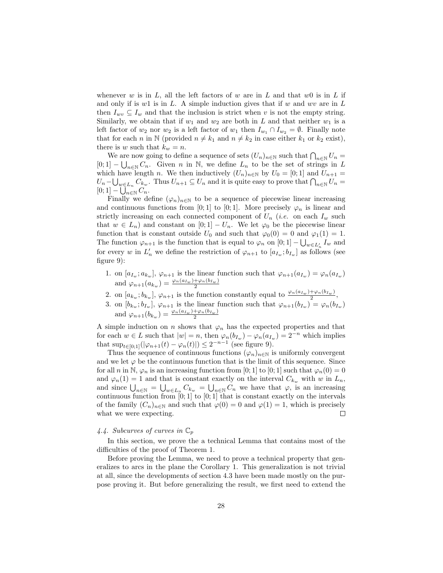whenever w is in  $L$ , all the left factors of w are in  $L$  and that w0 is in  $L$  if and only if is w1 is in L. A simple induction gives that if w and wv are in L then  $I_{wv} \subseteq I_w$  and that the inclusion is strict when v is not the empty string. Similarly, we obtain that if  $w_1$  and  $w_2$  are both in L and that neither  $w_1$  is a left factor of  $w_2$  nor  $w_2$  is a left factor of  $w_1$  then  $I_{w_1} \cap I_{w_2} = \emptyset$ . Finally note that for each n in N (provided  $n \neq k_1$  and  $n \neq k_2$  in case either  $k_1$  or  $k_2$  exist), there is w such that  $k_w = n$ .

We are now going to define a sequence of sets  $(U_n)_{n\in\mathbb{N}}$  such that  $\bigcap_{n\in\mathbb{N}} U_n =$  $[0;1] - \bigcup_{n \in \mathbb{N}} C_n$ . Given n in N, we define  $L_n$  to be the set of strings in L which have length n. We then inductively  $(U_n)_{n\in\mathbb{N}}$  by  $U_0 = [0,1]$  and  $U_{n+1} =$  $U_n-\bigcup_{w\in L_n}C_{k_w}$ . Thus  $U_{n+1}\subseteq U_n$  and it is quite easy to prove that  $\bigcap_{n\in\mathbb{N}}U_n=$  $[0;1]-\bigcup_{n\in\mathbb{N}}C_n.$ 

Finally we define  $(\varphi_n)_{n\in\mathbb{N}}$  to be a sequence of piecewise linear increasing and continuous functions from [0; 1] to [0; 1]. More precisely  $\varphi_n$  is linear and strictly increasing on each connected component of  $U_n$  (*i.e.* on each  $I_w$  such that  $w \in L_n$ ) and constant on  $[0;1] - U_n$ . We let  $\varphi_0$  be the piecewise linear function that is constant outside  $U_0$  and such that  $\varphi_0(0) = 0$  and  $\varphi_1(1) = 1$ . The function  $\varphi_{n+1}$  is the function that is equal to  $\varphi_n$  on  $[0;1] - \bigcup_{w \in L'_n} I_w$  and for every w in  $L'_n$  we define the restriction of  $\varphi_{n+1}$  to  $[a_{I_w}; b_{I_w}]$  as follows (see figure 9):

- 1. on  $[a_{I_w}; a_{k_w}], \varphi_{n+1}$  is the linear function such that  $\varphi_{n+1}(a_{I_w}) = \varphi_n(a_{I_w})$ and  $\varphi_{n+1}(a_{k_w}) = \frac{\varphi_n(a_{I_w}) + \varphi_n(b_{I_w})}{2}$
- 2. on  $[a_{k_w}; b_{k_w}]$ ,  $\varphi_{n+1}$  is the function constantly equal to  $\frac{\varphi_n(a_{I_w}) + \varphi_n(b_{I_w})}{2}$ ,
- 3. on  $[b_{k_w}; b_{I_w}]$ ,  $\varphi_{n+1}$  is the linear function such that  $\varphi_{n+1}(b_{I_w}) = \varphi_n(b_{I_w})$ and  $\varphi_{n+1}(b_{k_w}) = \frac{\varphi_n(a_{I_w}) + \varphi_n(b_{I_w})}{2}$

A simple induction on n shows that  $\varphi_n$  has the expected properties and that for each  $w \in L$  such that  $|w| = n$ , then  $\varphi_n(b_{I_w}) - \varphi_n(a_{I_w}) = 2^{-n}$  which implies that  $\sup_{t \in [0,1]} (|\varphi_{n+1}(t) - \varphi_n(t)|) \leq 2^{-n-1}$  (see figure 9).

Thus the sequence of continuous functions  $(\varphi_n)_{n\in\mathbb{N}}$  is uniformly convergent and we let  $\varphi$  be the continuous function that is the limit of this sequence. Since for all n in N,  $\varphi_n$  is an increasing function from [0; 1] to [0; 1] such that  $\varphi_n(0) = 0$ and  $\varphi_n(1) = 1$  and that is constant exactly on the interval  $C_{k_w}$  with w in  $L_n$ , and since  $\bigcup_{n\in\mathbb{N}}$  =  $\bigcup_{w\in L_n} C_{k_w} = \bigcup_{n\in\mathbb{N}} C_n$  we have that  $\varphi$ , is an increasing continuous function from  $[0;1]$  to  $[0;1]$  that is constant exactly on the intervals of the family  $(C_n)_{n\in\mathbb{N}}$  and such that  $\varphi(0)=0$  and  $\varphi(1)=1$ , which is precisely what we were expecting.  $\Box$ 

## 4.4. Subcurves of curves in  $\mathbb{C}_p$

In this section, we prove the a technical Lemma that contains most of the difficulties of the proof of Theorem 1.

Before proving the Lemma, we need to prove a technical property that generalizes to arcs in the plane the Corollary 1. This generalization is not trivial at all, since the developments of section 4.3 have been made mostly on the purpose proving it. But before generalizing the result, we first need to extend the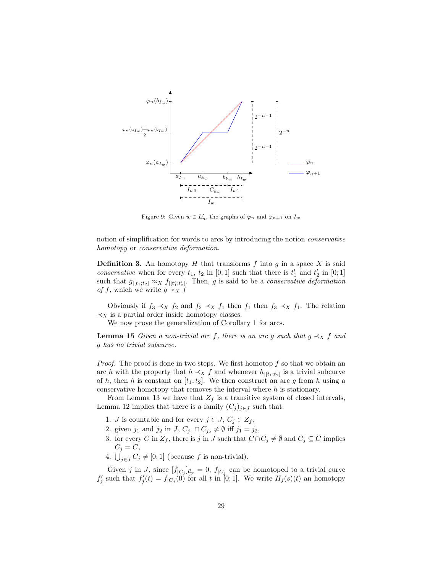

Figure 9: Given  $w \in L'_n$ , the graphs of  $\varphi_n$  and  $\varphi_{n+1}$  on  $I_w$ 

notion of simplification for words to arcs by introducing the notion conservative homotopy or conservative deformation.

**Definition 3.** An homotopy  $H$  that transforms  $f$  into  $g$  in a space  $X$  is said *conservative* when for every  $t_1$ ,  $t_2$  in [0; 1] such that there is  $t'_1$  and  $t'_2$  in [0; 1] such that  $g_{|[t_1;t_2]} \approx_X f_{|[t'_1;t'_2]}$ . Then, g is said to be a *conservative deformation of f*, which we write  $g \prec_X f$ 

Obviously if  $f_3 \prec_X f_2$  and  $f_2 \prec_X f_1$  then  $f_1$  then  $f_3 \prec_X f_1$ . The relation  $\prec_X$  is a partial order inside homotopy classes.

We now prove the generalization of Corollary 1 for arcs.

**Lemma 15** Given a non-trivial arc f, there is an arc g such that  $g \prec_X f$  and g has no trivial subcurve.

*Proof.* The proof is done in two steps. We first homotop  $f$  so that we obtain an arc h with the property that  $h \prec_X f$  and whenever  $h_{|[t_1;t_2]}$  is a trivial subcurve of h, then h is constant on  $[t_1;t_2]$ . We then construct an arc g from h using a conservative homotopy that removes the interval where  $h$  is stationary.

From Lemma 13 we have that  $Z_f$  is a transitive system of closed intervals, Lemma 12 implies that there is a family  $(C_j)_{j\in J}$  such that:

- 1. *J* is countable and for every  $j \in J$ ,  $C_j \in Z_f$ ,
- 2. given  $j_1$  and  $j_2$  in  $J$ ,  $C_{j_1} \cap C_{j_2} \neq \emptyset$  iff  $j_1 = j_2$ ,
- 3. for every C in  $Z_f$ , there is j in J such that  $C \cap C_j \neq \emptyset$  and  $C_j \subseteq C$  implies  $C_j = C$ ,
- 4.  $\bigcup_{j\in J} C_j \neq [0; 1]$  (because f is non-trivial).

Given j in J, since  $[f_{|C_j}]_{C_p} = 0$ ,  $f_{|C_j}$  can be homotoped to a trivial curve  $f'_{j}$  such that  $f'_{j}(t) = f_{|C_{j}}(0)$  for all t in [0; 1]. We write  $H_{j}(s)(t)$  an homotopy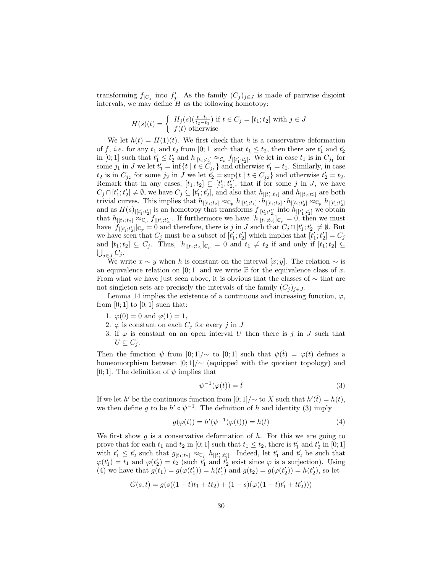transforming  $f_{|C_j}$  into  $f'_j$ . As the family  $(C_j)_{j\in J}$  is made of pairwise disjoint intervals, we may define  $H$  as the following homotopy:

$$
H(s)(t) = \begin{cases} H_j(s)(\frac{t-t_1}{t_2-t_1}) \text{ if } t \in C_j = [t_1; t_2] \text{ with } j \in J\\ f(t) \text{ otherwise} \end{cases}
$$

We let  $h(t) = H(1)(t)$ . We first check that h is a conservative deformation of f, *i.e.* for any  $t_1$  and  $t_2$  from [0; 1] such that  $t_1 \le t_2$ , then there are  $t'_1$  and  $t'_2$ in [0; 1] such that  $t'_1 \leq t'_2$  and  $h_{|[t_1;t_2]} \approx_{\mathcal{C}_p} f_{|[t'_1;t'_2]}$ . We let in case  $t_1$  is in  $C_{j_1}$  for some  $j_1$  in J we let  $t'_1 = \inf\{t \mid t \in C_{j_1}\}\$  and otherwise  $t'_1 = t_1$ . Similarly, in case  $t_2$  is in  $C_{j_2}$  for some  $j_2$  in J we let  $t'_2 = \sup\{t \mid t \in C_{j_2}\}\$  and otherwise  $t'_2 = t_2$ . Remark that in any cases,  $[t_1; t_2] \subseteq [t'_1; t'_2]$ , that if for some j in J, we have  $C_j \cap [t'_1;t'_2] \neq \emptyset$ , we have  $C_j \subseteq [t'_1;t'_2]$ , and also that  $h_{|[t'_1;t_1]}$  and  $h_{|[t_2;t'_2]}$  are both trivial curves. This implies that  $h_{|[t_1;t_2]} \approx_{\mathbb{C}_p} h_{|[t'_1;t_1]} \cdot h_{|[t_1;t_2]} \cdot h_{|[t_2;t'_2]} \approx_{\mathbb{C}_p} h_{|[t'_1;t'_2]}$ and as  $H(s)_{|[t'_1;t'_2]}$  is an homotopy that transforms  $f_{|[t'_1;t'_2]}$  into  $h_{|[t'_1;t'_2]}$  we obtain that  $h_{|[t_1;t_2]} \approx_{\mathbb{C}_p} f_{|[t'_1;t'_2]}$ . If furthermore we have  $[h_{|[t_1;t_2]}]_{\mathbb{C}_p} = 0$ , then we must have  $[f_{|[t_1',t_2']}]_{\mathbb{C}_p} = 0$  and therefore, there is j in J such that  $C_j \cap [t_1';t_2'] \neq \emptyset$ . But we have seen that  $C_j$  must be a subset of  $[t'_1; t'_2]$  which implies that  $[t'_1; t'_2] = C_j$ and  $[t_1;t_2] \subseteq C_j$ . Thus,  $[h_{|[t_1;t_2]}]_{\mathbb{C}_p} = 0$  and  $t_1 \neq t_2$  if and only if  $[t_1;t_2] \subseteq$  $\bigcup_{j\in J} C_j$ .

We write  $x \sim y$  when h is constant on the interval [x; y]. The relation  $\sim$  is an equivalence relation on [0; 1] and we write  $\tilde{x}$  for the equivalence class of x. From what we have just seen above, it is obvious that the classes of  $\sim$  that are not singleton sets are precisely the intervals of the family  $(C_j)_{j\in J}$ .

Lemma 14 implies the existence of a continuous and increasing function,  $\varphi$ , from  $[0; 1]$  to  $[0; 1]$  such that:

- 1.  $\varphi(0) = 0$  and  $\varphi(1) = 1$ ,
- 2.  $\varphi$  is constant on each  $C_j$  for every j in J
- 3. if  $\varphi$  is constant on an open interval U then there is j in J such that  $U \subseteq C_i$ .

Then the function  $\psi$  from [0; 1]/ $\sim$  to [0; 1] such that  $\psi(\tilde{t}) = \varphi(t)$  defines a homeomorphism between  $[0, 1] / \sim$  (equipped with the quotient topology) and [0; 1]. The definition of  $\psi$  implies that

$$
\psi^{-1}(\varphi(t)) = \tilde{t} \tag{3}
$$

If we let h' be the continuous function from  $[0;1] / \sim$  to X such that  $h'(\tilde{t}) = h(t)$ , we then define g to be  $h' \circ \psi^{-1}$ . The definition of h and identity (3) imply

$$
g(\varphi(t)) = h'(\psi^{-1}(\varphi(t))) = h(t)
$$
\n<sup>(4)</sup>

We first show  $g$  is a conservative deformation of  $h$ . For this we are going to prove that for each  $t_1$  and  $t_2$  in [0; 1] such that  $t_1 \le t_2$ , there is  $t'_1$  and  $t'_2$  in [0; 1] with  $t'_1 \leq t'_2$  such that  $g_{[t_1;t_2]} \approx_{\mathbb{C}_p} h_{|[t'_1;t'_2]}$ . Indeed, let  $t'_1$  and  $t'_2$  be such that  $\varphi(t'_1) = t_1$  and  $\varphi(t'_2) = t_2$  (such  $t'_1$  and  $t'_2$  exist since  $\varphi$  is a surjection). Using (4) we have that  $g(t_1) = g(\varphi(t'_1)) = h(t'_1)$  and  $g(t_2) = g(\varphi(t'_2)) = h(t'_2)$ , so let

$$
G(s,t) = g(s((1-t)t_1 + tt_2) + (1-s)(\varphi((1-t)t_1' + tt_2'))
$$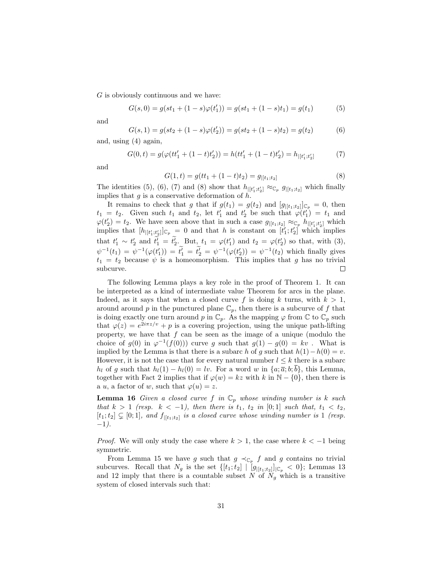G is obviously continuous and we have:

$$
G(s,0) = g(st_1 + (1-s)\varphi(t'_1)) = g(st_1 + (1-s)t_1) = g(t_1)
$$
\n(5)

and

$$
G(s, 1) = g(st_2 + (1 - s)\varphi(t'_2)) = g(st_2 + (1 - s)t_2) = g(t_2)
$$
(6)

and, using (4) again,

$$
G(0,t) = g(\varphi(tt_1' + (1-t)t_2')) = h(tt_1' + (1-t)t_2') = h_{|[t_1',t_2']} \tag{7}
$$

and

$$
G(1,t) = g(tt_1 + (1-t)t_2) = g_{|[t_1;t_2]}
$$
\n(8)

The identities (5), (6), (7) and (8) show that  $h_{|[t'_1;t'_2]} \approx_{\mathbb{C}_p} g_{|[t_1;t_2]}$  which finally implies that  $g$  is a conservative deformation of  $h$ .

It remains to check that g that if  $g(t_1) = g(t_2)$  and  $[g_{|[t_1;t_2]}]_{\mathbb{C}_p} = 0$ , then  $t_1 = t_2$ . Given such  $t_1$  and  $t_2$ , let  $t'_1$  and  $t'_2$  be such that  $\varphi(t'_1) = t_1$  and  $\varphi(t_2') = t_2$ . We have seen above that in such a case  $g_{|[t_1;t_2]} \approx_{\mathbb{C}_p} h_{|[t_1';t_2']}$  which implies that  $[h_{|[t_1',t_2']}]_{\mathbb{C}_p} = 0$  and that h is constant on  $[t_1';t_2']$  which implies that  $t'_1 \sim t'_2$  and  $t'_1 = t'_2$ . But,  $t_1 = \varphi(t'_1)$  and  $t_2 = \varphi(t'_2)$  so that, with (3),  $\psi^{-1}(t_1) = \psi^{-1}(\varphi(t'_1)) = t'_1 = t'_2 = \psi^{-1}(\varphi(t'_2)) = \psi^{-1}(t_2)$  which finally gives  $t_1 = t_2$  because  $\psi$  is a homeomorphism. This implies that g has no trivial subcurve.  $\Box$ 

The following Lemma plays a key role in the proof of Theorem 1. It can be interpreted as a kind of intermediate value Theorem for arcs in the plane. Indeed, as it says that when a closed curve f is doing k turns, with  $k > 1$ , around around p in the punctured plane  $\mathbb{C}_p$ , then there is a subcurve of f that is doing exactly one turn around p in  $\mathbb{C}_p$ . As the mapping  $\varphi$  from  $\mathbb{C}$  to  $\mathbb{C}_p$  such that  $\varphi(z) = e^{2i\pi z/v} + p$  is a covering projection, using the unique path-lifting property, we have that  $f$  can be seen as the image of a unique (modulo the choice of  $g(0)$  in  $\varphi^{-1}(f(0))$  curve g such that  $g(1) - g(0) = kv$ . What is implied by the Lemma is that there is a subarc h of g such that  $h(1)-h(0) = v$ . However, it is not the case that for every natural number  $l \leq k$  there is a subarc  $h_l$  of g such that  $h_l(1) - h_l(0) = \ell v$ . For a word w in  $\{a; \overline{a}; b; \overline{b}\}$ , this Lemma, together with Fact 2 implies that if  $\varphi(w) = kz$  with k in N – {0}, then there is a u, a factor of w, such that  $\varphi(u) = z$ .

**Lemma 16** Given a closed curve f in  $\mathbb{C}_p$  whose winding number is k such that  $k > 1$  (resp.  $k < -1$ ), then there is  $t_1, t_2$  in [0;1] such that,  $t_1 < t_2$ ,  $[t_1;t_2] \subsetneq [0;1]$ , and  $f_{|[t_1;t_2]}$  is a closed curve whose winding number is 1 (resp. −1).

*Proof.* We will only study the case where  $k > 1$ , the case where  $k < -1$  being symmetric.

From Lemma 15 we have g such that  $g \prec_{\mathbb{C}_p} f$  and g contains no trivial subcurves. Recall that  $N_g$  is the set  $\{[t_1;t_2] \mid [g_{|[t_1;t_2]}]_{|\mathbb{C}_p} < 0\}$ ; Lemmas 13 and 12 imply that there is a countable subset N of  $N_g$  which is a transitive system of closed intervals such that: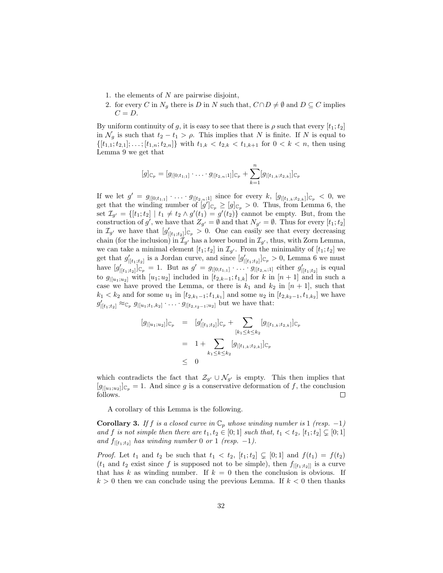- 1. the elements of  $N$  are pairwise disjoint,
- 2. for every C in  $N_g$  there is D in N such that,  $C \cap D \neq \emptyset$  and  $D \subseteq C$  implies  $C = D$ .

By uniform continuity of g, it is easy to see that there is  $\rho$  such that every  $[t_1;t_2]$ in  $\mathcal{N}_g$  is such that  $t_2 - t_1 > \rho$ . This implies that N is finite. If N is equal to  $\{[t_{1,1};t_{2,1}];\ldots; [t_{1,n};t_{2,n}]\}\$  with  $t_{1,k} < t_{2,k} < t_{1,k+1}$  for  $0 < k < n$ , then using Lemma 9 we get that

$$
[g]_{\mathbb{C}_p} = [g_{|[0;t_{1,1}]} \cdot \ldots \cdot g_{|[t_{2,n};1]}]_{\mathbb{C}_p} + \sum_{k=1}^n [g_{|[t_{1,k};t_{2,k}]}]_{\mathbb{C}_p}
$$

If we let  $g' = g_{|[0;t_{1,1}]} \cdot \ldots \cdot g_{|[t_{2,n};1]}$  since for every k,  $[g_{|[t_{1,k};t_{2,k}]}]_{\mathbb{C}_p} < 0$ , we get that the winding number of  $[g']_{\mathbb{C}_p} \geq [g]_{\mathbb{C}_p} > 0$ . Thus, from Lemma 6, the set  $\mathcal{I}_{g'} = \{ [t_1; t_2] \mid t_1 \neq t_2 \land g'(t_1) = g'(t_2) \}$  cannot be empty. But, from the construction of g', we have that  $Z_{g'} = \emptyset$  and that  $N_{g'} = \emptyset$ . Thus for every  $[t_1; t_2]$ in  $\mathcal{I}_{g'}$  we have that  $[g'_{|[t_1;t_2]}]_{\mathbb{C}_p} > 0$ . One can easily see that every decreasing chain (for the inclusion) in  $\mathcal{I}_{g'}$  has a lower bound in  $\mathcal{I}_{g'}$ , thus, with Zorn Lemma, we can take a minimal element  $[t_1;t_2]$  in  $\mathcal{I}_{g'}$ . From the minimality of  $[t_1;t_2]$  we get that  $g'_{|[t_1;t_2]}$  is a Jordan curve, and since  $[g'_{|[t_1;t_2]}]_{\mathbb{C}_p} > 0$ , Lemma 6 we must have  $[g'_{|[t_1;t_2]}]_{\mathbb{C}_p} = 1$ . But as  $g' = g_{|[0;t_1;1]} \cdot \ldots \cdot g_{|[t_2,n;1]}$  either  $g'_{|[t_1;t_2]}$  is equal to  $g_{|[u_1;u_2]}$  with  $[u_1;u_2]$  included in  $[t_{2,k-1};t_{1,k}]$  for k in  $[n+1]$  and in such a case we have proved the Lemma, or there is  $k_1$  and  $k_2$  in  $[n+1]$ , such that  $k_1 < k_2$  and for some  $u_1$  in  $[t_{2,k_1-1}; t_{1,k_1}]$  and some  $u_2$  in  $[t_{2,k_2-1}, t_{1,k_2}]$  we have  $g'_{|[t_1;t_2]} \approx_{\mathbb{C}_p} g_{|[u_1;t_1,k_2]} \cdot \ldots \cdot g_{|[t_{2,t_2-1};u_2]}$  but we have that:

$$
[g_{|[u_1;u_2]}]_{\mathbb{C}_p} = [g'_{|[t_1;t_2]}]_{\mathbb{C}_p} + \sum_{[k_1 \le k \le k_2} [g_{|[t_{1,k};t_{2,k}]}]_{\mathbb{C}_p}
$$
  

$$
= 1 + \sum_{k_1 \le k \le k_2} [g_{|[t_{1,k};t_{2,k}]}]_{\mathbb{C}_p}
$$
  

$$
\le 0
$$

which contradicts the fact that  $\mathcal{Z}_{g'} \cup \mathcal{N}_{g'}$  is empty. This then implies that  $[g_{|[u_1;u_2]}]_{{\mathbb C}_p} = 1$ . And since g is a conservative deformation of f, the conclusion follows.  $\Box$ 

A corollary of this Lemma is the following.

**Corollary 3.** If f is a closed curve in  $\mathbb{C}_p$  whose winding number is 1 (resp. -1) and f is not simple then there are  $t_1, t_2 \in [0; 1]$  such that,  $t_1 < t_2$ ,  $[t_1; t_2] \subsetneq [0; 1]$ and  $f_{|[t_1;t_2]}$  has winding number 0 or 1 (resp. -1).

*Proof.* Let  $t_1$  and  $t_2$  be such that  $t_1 < t_2$ ,  $[t_1;t_2] \subsetneq [0;1]$  and  $f(t_1) = f(t_2)$  $(t_1$  and  $t_2$  exist since f is supposed not to be simple), then  $f_{|[t_1;t_2]|}$  is a curve that has k as winding number. If  $k = 0$  then the conclusion is obvious. If  $k > 0$  then we can conclude using the previous Lemma. If  $k < 0$  then thanks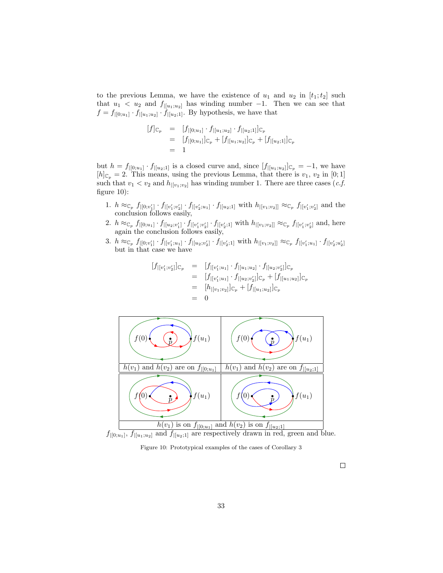to the previous Lemma, we have the existence of  $u_1$  and  $u_2$  in  $[t_1;t_2]$  such that  $u_1 < u_2$  and  $f_{|[u_1;u_2]}$  has winding number -1. Then we can see that  $f = f_{|[0;u_1]} \cdot f_{|[u_1;u_2]} \cdot f_{|[u_2;1]}$ . By hypothesis, we have that

$$
\begin{array}{rcl}\n[f]_{\mathbb{C}_p} & = & [f_{|[0;u_1]} \cdot f_{|[u_1;u_2]} \cdot f_{|[u_2;1]}]_{\mathbb{C}_p} \\
& = & [f_{|[0;u_1]}]_{\mathbb{C}_p} + [f_{|[u_1;u_2]}]_{\mathbb{C}_p} + [f_{|[u_2;1]}]_{\mathbb{C}_p} \\
& = & 1\n\end{array}
$$

but  $h = f_{|[0,u_1]} \cdot f_{|[u_2,1]}$  is a closed curve and, since  $[f_{|[u_1,u_2]}]_{\mathbb{C}_p} = -1$ , we have  $[h]_{\mathbb{C}_p} = 2$ . This means, using the previous Lemma, that there is  $v_1, v_2$  in [0; 1] such that  $v_1 < v_2$  and  $h_{|[v_1,v_2]}$  has winding number 1. There are three cases (*c.f.* figure 10):

- 1.  $h \approx_{\mathbb{C}_p} f_{|[0;v_1']} \cdot f_{|[v_1',v_2']} \cdot f_{|[v_2',u_1]} \cdot f_{|[u_2;1]}$  with  $h_{|[v_1;v_2]]} \approx_{\mathbb{C}_p} f_{|[v_1',v_2']}$  and the conclusion follows easily,
- 2.  $h \approx_{\mathbb{C}_p} f_{|[0;u_1]} \cdot f_{|[u_2;v'_1]} \cdot f_{|[v'_1;v'_2]} \cdot f_{|[v'_2;1]}$  with  $h_{|[v_1;v_2]} \approx_{\mathbb{C}_p} f_{|[v'_1;v'_2]}$  and, here again the conclusion follows easily,
- 3.  $h \approx_{\mathbb{C}_p} f_{|[0;v_1']} \cdot f_{|[v_1',u_1]} \cdot f_{|[u_2;v_2']} \cdot f_{|[v_2',1]}$  with  $h_{|[v_1;v_2]]} \approx_{\mathbb{C}_p} f_{|[v_1',u_1]} \cdot f_{|[v_2',u_2']}$ but in that case we have

$$
\begin{array}{rcl}\n[f_{|[v_1';v_2']}]_{\mathbb{C}_p} & = & [f_{|[v_1';u_1]} \cdot f_{|[u_1;u_2]} \cdot f_{|[u_2;v_2']}]_{\mathbb{C}_p} \\
 & = & [f_{|[v_1';u_1]} \cdot f_{|[u_2;v_2']}]_{\mathbb{C}_p} + [f_{|[u_1;u_2]}]_{\mathbb{C}_p} \\
 & = & [h_{|[v_1;v_2]}]_{\mathbb{C}_p} + [f_{|[u_1;u_2]}]_{\mathbb{C}_p} \\
 & = & 0\n\end{array}
$$



 $f_{|[0;u_1]}, f_{|[u_1;u_2]}$  and  $f_{|[u_2;1]}$  are respectively drawn in red, green and blue.

Figure 10: Prototypical examples of the cases of Corollary 3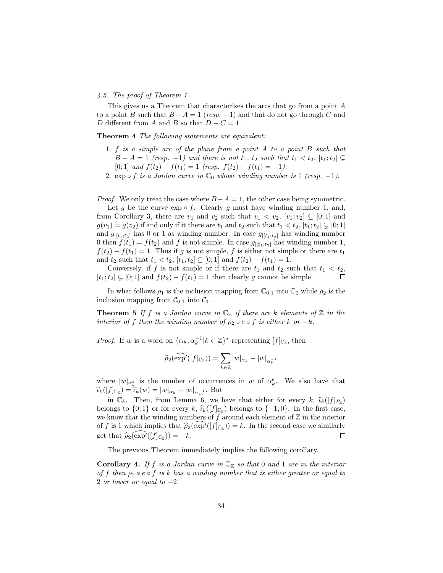## 4.5. The proof of Theorem 1

This gives us a Theorem that characterizes the arcs that go from a point A to a point B such that  $B - A = 1$  (resp. -1) and that do not go through C and D different from A and B so that  $D - C = 1$ .

Theorem 4 The following statements are equivalent:

- 1. f is a simple arc of the plane from a point A to a point B such that  $B - A = 1$  (resp. -1) and there is not  $t_1$ ,  $t_2$  such that  $t_1 < t_2$ ,  $[t_1; t_2] \subseteq$ [0; 1] and  $f(t_2) - f(t_1) = 1$  (resp.  $f(t_2) - f(t_1) = -1$ ).
- 2. exp ∘ f is a Jordan curve in  $\mathbb{C}_0$  whose winding number is 1 (resp. -1).

*Proof.* We only treat the case where  $B-A=1$ , the other case being symmetric.

Let q be the curve  $\exp \circ f$ . Clearly q must have winding number 1, and, from Corollary 3, there are  $v_1$  and  $v_2$  such that  $v_1 < v_2$ ,  $[v_1; v_2] \subsetneq [0; 1]$  and  $g(v_1) = g(v_2)$  if and only if it there are  $t_1$  and  $t_2$  such that  $t_1 < t_2, \, [t_1;t_2] \subsetneq [0;1]$ and  $g_{|[t_1;t_2]}$  has 0 or 1 as winding number. In case  $g_{|[t_1;t_2]}$  has winding number 0 then  $f(t_1) = f(t_2)$  and f is not simple. In case  $g_{|[t_1;t_2]}$  has winding number 1,  $f(t_2) - f(t_1) = 1$ . Thus if g is not simple, f is either not simple or there are  $t_1$ and  $t_2$  such that  $t_1 < t_2$ ,  $[t_1; t_2] \subsetneq [0; 1]$  and  $f(t_2) - f(t_1) = 1$ .

Conversely, if f is not simple or if there are  $t_1$  and  $t_2$  such that  $t_1 < t_2$ ,  $[t_1;t_2] \subsetneq [0;1]$  and  $f(t_2) - f(t_1) = 1$  then clearly g cannot be simple.  $\Box$ 

In what follows  $\rho_1$  is the inclusion mapping from  $\mathbb{C}_{0,1}$  into  $\mathbb{C}_0$  while  $\rho_2$  is the inclusion mapping from  $\mathcal{C}_{0,1}$  into  $\mathcal{C}_1$ .

**Theorem 5** If f is a Jordan curve in  $\mathbb{C}_{\mathbb{Z}}$  if there are k elements of  $\mathbb{Z}$  in the interior of f then the winding number of  $\rho_2 \circ e \circ f$  is either k or  $-k$ .

*Proof.* If w is a word on  $\{\alpha_k, \alpha_k^{-1} | k \in \mathbb{Z}\}^*$  representing  $[f]_{\mathbb{C}_\mathbb{Z}}$ , then

$$
\widehat{\rho}_2(\widehat{\exp'}([f]_{\mathbb{C}_{\mathbb{Z}}})) = \sum_{k \in \mathbb{Z}} |w|_{\alpha_k} - |w|_{\alpha_k^{-1}}
$$

where  $|w|_{\alpha_k^{\epsilon}}$  is the number of occurrences in w of  $\alpha_k^{\epsilon}$ . We also have that  $\widehat{\iota}_{k}([f]_{\mathbb{C}_{\mathbb{Z}}}) = \widehat{\iota}_{k}(w) = |w|_{\alpha_{k}} - |w|_{\alpha_{k-1}^{-1}}.$  But

in  $\mathbb{C}_k$ . Then, from Lemma 6, we have that either for every k,  $\hat{\iota}_k([f]_{P_z})$ belongs to  $\{0;1\}$  or for every  $k$ ,  $\hat{\iota}_k([f]_{\mathbb{C}_Z})$  belongs to  $\{-1;0\}$ . In the first case, we know that the winding numbers of  $f$  around each element of  $\mathbb Z$  in the interior of f is 1 which implies that  $\hat{\rho}_2(\exp^{\gamma}([f]_{\mathbb{C}_Z})) = k$ . In the second case we similarly get that  $\hat{\rho}_2(\widehat{\exp}^{\prime}([f]_{\mathbb{C}_{\mathbb{Z}}})) = -k.$  $\Box$ 

The previous Theorem immediately implies the following corollary.

**Corollary 4.** If f is a Jordan curve in  $\mathbb{C}_{\mathbb{Z}}$  so that 0 and 1 are in the interior of f then  $\rho_2 \circ e \circ f$  is k has a winding number that is either greater or equal to 2 or lower or equal to  $-2$ .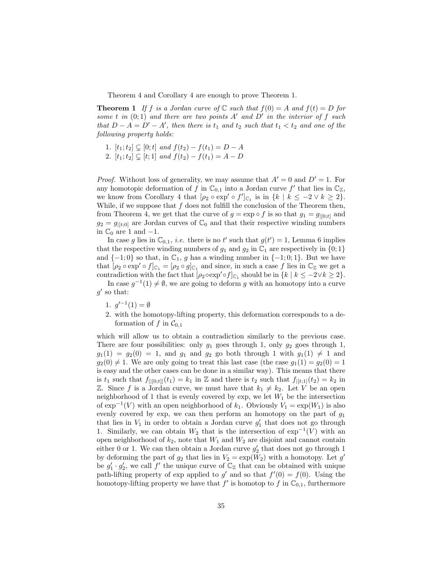Theorem 4 and Corollary 4 are enough to prove Theorem 1.

**Theorem 1** If f is a Jordan curve of  $\mathbb C$  such that  $f(0) = A$  and  $f(t) = D$  for some t in  $(0; 1)$  and there are two points A' and D' in the interior of f such that  $D - A = D' - A'$ , then there is  $t_1$  and  $t_2$  such that  $t_1 < t_2$  and one of the following property holds:

- 1.  $[t_1;t_2] \subseteq [0;t]$  and  $f(t_2) f(t_1) = D A$
- 2.  $[t_1; t_2] \subseteq [t; 1]$  and  $f(t_2) f(t_1) = A D$

*Proof.* Without loss of generality, we may assume that  $A' = 0$  and  $D' = 1$ . For any homotopic deformation of f in  $\mathbb{C}_{0,1}$  into a Jordan curve f' that lies in  $\mathbb{C}_{\mathbb{Z}}$ , we know from Corollary 4 that  $[\rho_2 \circ \exp' \circ f']_{\mathbb{C}_1}$  is in  $\{k \mid k \leq -2 \vee k \geq 2\}$ . While, if we suppose that  $f$  does not fulfill the conclusion of the Theorem then, from Theorem 4, we get that the curve of  $g = \exp \circ f$  is so that  $g_1 = g_{|[0:t]}$  and  $g_2 = g_{\parallel t,0}$  are Jordan curves of  $\mathbb{C}_0$  and that their respective winding numbers in  $\mathbb{C}_0$  are 1 and  $-1$ .

In case g lies in  $\mathbb{C}_{0,1}$ , *i.e.* there is no t' such that  $g(t') = 1$ , Lemma 6 implies that the respective winding numbers of  $g_1$  and  $g_2$  in  $\mathbb{C}_1$  are respectively in  $\{0, 1\}$ and  $\{-1;0\}$  so that, in  $\mathbb{C}_1$ , g has a winding number in  $\{-1;0;1\}$ . But we have that  $[\rho_2 \circ \exp' \circ f]_{\mathbb{C}_1} = [\rho_2 \circ g]_{\mathbb{C}_1}$  and since, in such a case f lies in  $\mathbb{C}_{\mathbb{Z}}$  we get a contradiction with the fact that  $[\rho_2 \text{exp}^{\prime} \circ f]_{\mathbb{C}_1}$  should be in  $\{k \mid k \leq -2 \lor k \geq 2\}$ .

In case  $g^{-1}(1) \neq \emptyset$ , we are going to deform g with an homotopy into a curve  $g'$  so that:

- 1.  $g'^{-1}(1) = \emptyset$
- 2. with the homotopy-lifting property, this deformation corresponds to a deformation of f in  $C_{0,1}$

which will allow us to obtain a contradiction similarly to the previous case. There are four possibilities: only  $g_1$  goes through 1, only  $g_2$  goes through 1,  $g_1(1) = g_2(0) = 1$ , and  $g_1$  and  $g_2$  go both through 1 with  $g_1(1) \neq 1$  and  $g_2(0) \neq 1$ . We are only going to treat this last case (the case  $g_1(1) = g_2(0) = 1$ is easy and the other cases can be done in a similar way). This means that there is  $t_1$  such that  $f_{[|[0;t]]}(t_1) = k_1$  in  $\mathbb Z$  and there is  $t_2$  such that  $f_{|[t;1]}(t_2) = k_2$  in Z. Since f is a Jordan curve, we must have that  $k_1 \neq k_2$ . Let V be an open neighborhood of 1 that is evenly covered by exp, we let  $W_1$  be the intersection of  $\exp^{-1}(V)$  with an open neighborhood of  $k_1$ . Obviously  $V_1 = \exp(W_1)$  is also evenly covered by exp, we can then perform an homotopy on the part of  $g_1$ that lies in  $V_1$  in order to obtain a Jordan curve  $g'_1$  that does not go through 1. Similarly, we can obtain  $W_2$  that is the intersection of  $exp^{-1}(V)$  with an open neighborhood of  $k_2$ , note that  $W_1$  and  $W_2$  are disjoint and cannot contain either 0 or 1. We can then obtain a Jordan curve  $g_2'$  that does not go through 1 by deforming the part of  $g_2$  that lies in  $V_2 = \exp(W_2)$  with a homotopy. Let  $g'$ be  $g'_1 \cdot g'_2$ , we call  $f'$  the unique curve of  $\mathbb{C}_{\mathbb{Z}}$  that can be obtained with unique path-lifting property of exp applied to g' and so that  $f'(0) = f(0)$ . Using the homotopy-lifting property we have that  $f'$  is homotop to f in  $\mathbb{C}_{0,1}$ , furthermore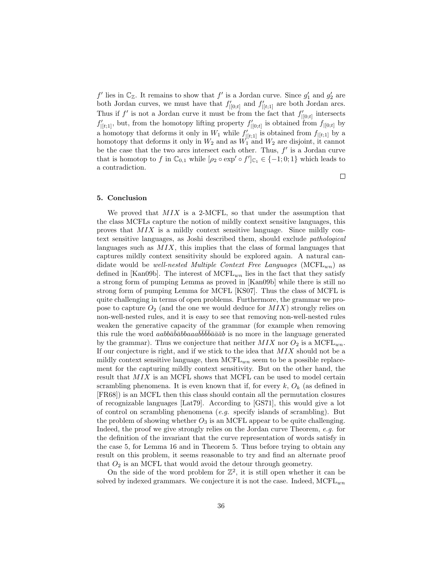$f'$  lies in  $\mathbb{C}_{\mathbb{Z}}$ . It remains to show that  $f'$  is a Jordan curve. Since  $g'_1$  and  $g'_2$  are both Jordan curves, we must have that  $f'_{|[0;t]}$  and  $f'_{|[t;1]}$  are both Jordan arcs. Thus if  $f'$  is not a Jordan curve it must be from the fact that  $f'_{|[0;t]}$  intersects  $f'_{|[t;1]}$ , but, from the homotopy lifting property  $f'_{|[0;t]}$  is obtained from  $f_{|[0;t]}$  by a homotopy that deforms it only in  $W_1$  while  $f'_{|[t;1]}$  is obtained from  $f_{|[t;1]}$  by a homotopy that deforms it only in  $W_2$  and as  $W_1$  and  $W_2$  are disjoint, it cannot be the case that the two arcs intersect each other. Thus,  $f'$  is a Jordan curve that is homotop to f in  $\mathbb{C}_{0,1}$  while  $[\rho_2 \circ \exp' \circ f']_{\mathbb{C}_1} \in \{-1,0,1\}$  which leads to a contradiction.

## $\Box$

## 5. Conclusion

We proved that  $MIX$  is a 2-MCFL, so that under the assumption that the class MCFLs capture the notion of mildly context sensitive languages, this proves that MIX is a mildly context sensitive language. Since mildly context sensitive languages, as Joshi described them, should exclude pathological languages such as  $MIX$ , this implies that the class of formal languages that captures mildly context sensitivity should be explored again. A natural candidate would be *well-nested Multiple Context Free Languages* ( $MCFL_{wn}$ ) as defined in [Kan09b]. The interest of  $MCFL_{wn}$  lies in the fact that they satisfy a strong form of pumping Lemma as proved in [Kan09b] while there is still no strong form of pumping Lemma for MCFL [KS07]. Thus the class of MCFL is quite challenging in terms of open problems. Furthermore, the grammar we propose to capture  $O_2$  (and the one we would deduce for  $MIX$ ) strongly relies on non-well-nested rules, and it is easy to see that removing non-well-nested rules weaken the generative capacity of the grammar (for example when removing this rule the word  $aab b\bar{a}b\bar{b}b\bar{b}aa\bar{a}\bar{b}b\bar{b}\bar{a}\bar{a}\bar{a}\bar{b}$  is no more in the language generated by the grammar). Thus we conjecture that neither  $MIX$  nor  $O_2$  is a MCFL<sub>wn</sub>. If our conjecture is right, and if we stick to the idea that MIX should not be a mildly context sensitive language, then  $MCFL_{wn}$  seem to be a possible replacement for the capturing mildly context sensitivity. But on the other hand, the result that MIX is an MCFL shows that MCFL can be used to model certain scrambling phenomena. It is even known that if, for every  $k, O_k$  (as defined in [FR68]) is an MCFL then this class should contain all the permutation closures of recognizable languages [Lat79]. According to [GS71], this would give a lot of control on scrambling phenomena (e.g. specify islands of scrambling). But the problem of showing whether  $O_3$  is an MCFL appear to be quite challenging. Indeed, the proof we give strongly relies on the Jordan curve Theorem, e.g. for the definition of the invariant that the curve representation of words satisfy in the case 5, for Lemma 16 and in Theorem 5. Thus before trying to obtain any result on this problem, it seems reasonable to try and find an alternate proof that  $O_2$  is an MCFL that would avoid the detour through geometry.

On the side of the word problem for  $\mathbb{Z}^2$ , it is still open whether it can be solved by indexed grammars. We conjecture it is not the case. Indeed,  $MCFL_{wn}$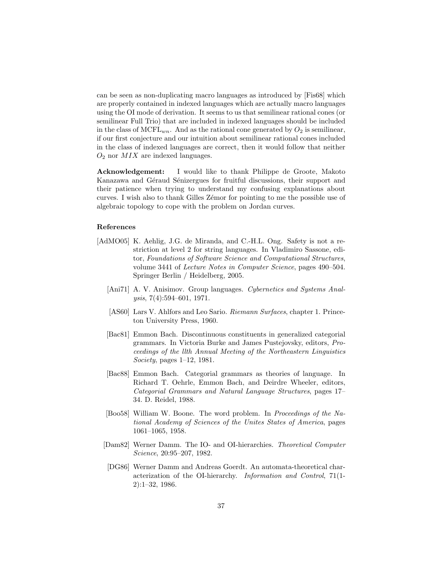can be seen as non-duplicating macro languages as introduced by [Fis68] which are properly contained in indexed languages which are actually macro languages using the OI mode of derivation. It seems to us that semilinear rational cones (or semilinear Full Trio) that are included in indexed languages should be included in the class of MCFL<sub>wn</sub>. And as the rational cone generated by  $O_2$  is semilinear, if our first conjecture and our intuition about semilinear rational cones included in the class of indexed languages are correct, then it would follow that neither  $O_2$  nor  $MIX$  are indexed languages.

Acknowledgement: I would like to thank Philippe de Groote, Makoto Kanazawa and Géraud Sénizergues for fruitful discussions, their support and their patience when trying to understand my confusing explanations about curves. I wish also to thank Gilles Z´emor for pointing to me the possible use of algebraic topology to cope with the problem on Jordan curves.

## References

- [AdMO05] K. Aehlig, J.G. de Miranda, and C.-H.L. Ong. Safety is not a restriction at level 2 for string languages. In Vladimiro Sassone, editor, Foundations of Software Science and Computational Structures, volume 3441 of Lecture Notes in Computer Science, pages 490–504. Springer Berlin / Heidelberg, 2005.
	- [Ani71] A. V. Anisimov. Group languages. Cybernetics and Systems Analysis, 7(4):594–601, 1971.
	- [AS60] Lars V. Ahlfors and Leo Sario. Riemann Surfaces, chapter 1. Princeton University Press, 1960.
	- [Bac81] Emmon Bach. Discontinuous constituents in generalized categorial grammars. In Victoria Burke and James Pustejovsky, editors, Proceedings of the llth Annual Meeting of the Northeastern Linguistics Society, pages 1–12, 1981.
	- [Bac88] Emmon Bach. Categorial grammars as theories of language. In Richard T. Oehrle, Emmon Bach, and Deirdre Wheeler, editors, Categorial Grammars and Natural Language Structures, pages 17– 34. D. Reidel, 1988.
	- [Boo58] William W. Boone. The word problem. In Proceedings of the National Academy of Sciences of the Unites States of America, pages 1061–1065, 1958.
	- [Dam82] Werner Damm. The IO- and OI-hierarchies. Theoretical Computer Science, 20:95–207, 1982.
	- [DG86] Werner Damm and Andreas Goerdt. An automata-theoretical characterization of the OI-hierarchy. Information and Control, 71(1- 2):1–32, 1986.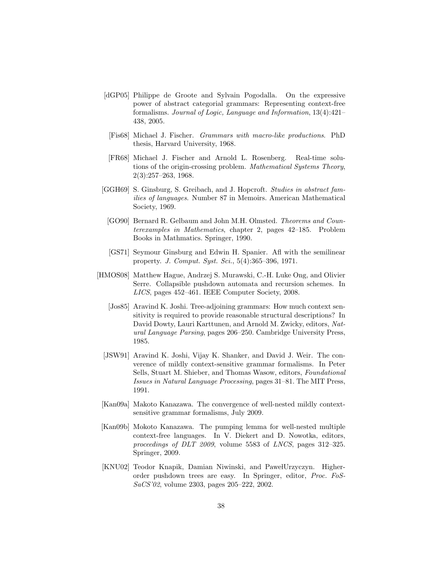- [dGP05] Philippe de Groote and Sylvain Pogodalla. On the expressive power of abstract categorial grammars: Representing context-free formalisms. Journal of Logic, Language and Information, 13(4):421– 438, 2005.
	- [Fis68] Michael J. Fischer. Grammars with macro-like productions. PhD thesis, Harvard University, 1968.
- [FR68] Michael J. Fischer and Arnold L. Rosenberg. Real-time solutions of the origin-crossing problem. Mathematical Systems Theory, 2(3):257–263, 1968.
- [GGH69] S. Ginsburg, S. Greibach, and J. Hopcroft. Studies in abstract families of languages. Number 87 in Memoirs. American Mathematical Society, 1969.
	- [GO90] Bernard R. Gelbaum and John M.H. Olmsted. Theorems and Counterexamples in Mathematics, chapter 2, pages 42–185. Problem Books in Mathmatics. Springer, 1990.
	- [GS71] Seymour Ginsburg and Edwin H. Spanier. Afl with the semilinear property. J. Comput. Syst. Sci., 5(4):365–396, 1971.
- [HMOS08] Matthew Hague, Andrzej S. Murawski, C.-H. Luke Ong, and Olivier Serre. Collapsible pushdown automata and recursion schemes. In LICS, pages 452–461. IEEE Computer Society, 2008.
	- [Jos85] Aravind K. Joshi. Tree-adjoining grammars: How much context sensitivity is required to provide reasonable structural descriptions? In David Dowty, Lauri Karttunen, and Arnold M. Zwicky, editors, Natural Language Parsing, pages 206–250. Cambridge University Press, 1985.
	- [JSW91] Aravind K. Joshi, Vijay K. Shanker, and David J. Weir. The converence of mildly context-sensitive grammar formalisms. In Peter Sells, Stuart M. Shieber, and Thomas Wasow, editors, Foundational Issues in Natural Language Processing, pages 31–81. The MIT Press, 1991.
- [Kan09a] Makoto Kanazawa. The convergence of well-nested mildly contextsensitive grammar formalisms, July 2009.
- [Kan09b] Mokoto Kanazawa. The pumping lemma for well-nested multiple context-free languages. In V. Diekert and D. Nowotka, editors, proceedings of DLT 2009, volume 5583 of LNCS, pages 312–325. Springer, 2009.
- [KNU02] Teodor Knapik, Damian Niwinski, and PawełUrzyczyn. Higherorder pushdown trees are easy. In Springer, editor, Proc. FoS-SaCS'02, volume 2303, pages 205–222, 2002.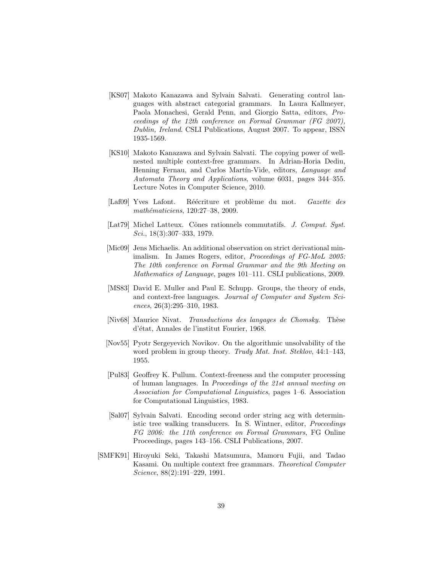- [KS07] Makoto Kanazawa and Sylvain Salvati. Generating control languages with abstract categorial grammars. In Laura Kallmeyer, Paola Monachesi, Gerald Penn, and Giorgio Satta, editors, Proceedings of the 12th conference on Formal Grammar (FG 2007), Dublin, Ireland. CSLI Publications, August 2007. To appear, ISSN 1935-1569.
- [KS10] Makoto Kanazawa and Sylvain Salvati. The copying power of wellnested multiple context-free grammars. In Adrian-Horia Dediu, Henning Fernau, and Carlos Martín-Vide, editors, Language and Automata Theory and Applications, volume 6031, pages 344–355. Lecture Notes in Computer Science, 2010.
- [Laf09] Yves Lafont. Réécriture et problème du mot. Gazette des mathématiciens, 120:27-38, 2009.
- [Lat79] Michel Latteux. Cônes rationnels commutatifs. J. Comput. Syst. Sci., 18(3):307–333, 1979.
- [Mic09] Jens Michaelis. An additional observation on strict derivational minimalism. In James Rogers, editor, Proceedings of FG-MoL 2005: The 10th conference on Formal Grammar and the 9th Meeting on Mathematics of Language, pages 101–111. CSLI publications, 2009.
- [MS83] David E. Muller and Paul E. Schupp. Groups, the theory of ends, and context-free languages. Journal of Computer and System Sciences, 26(3):295–310, 1983.
- [Niv68] Maurice Nivat. Transductions des languages de Chomsky. Thèse d'état, Annales de l'institut Fourier, 1968.
- [Nov55] Pyotr Sergeyevich Novikov. On the algorithmic unsolvability of the word problem in group theory. Trudy Mat. Inst. Steklov, 44:1-143, 1955.
- [Pul83] Geoffrey K. Pullum. Context-freeness and the computer processing of human languages. In Proceedings of the 21st annual meeting on Association for Computational Linguistics, pages 1–6. Association for Computational Linguistics, 1983.
- [Sal07] Sylvain Salvati. Encoding second order string acg with deterministic tree walking transducers. In S. Wintner, editor, Proceedings FG 2006: the 11th conference on Formal Grammars, FG Online Proceedings, pages 143–156. CSLI Publications, 2007.
- [SMFK91] Hiroyuki Seki, Takashi Matsumura, Mamoru Fujii, and Tadao Kasami. On multiple context free grammars. Theoretical Computer Science, 88(2):191–229, 1991.